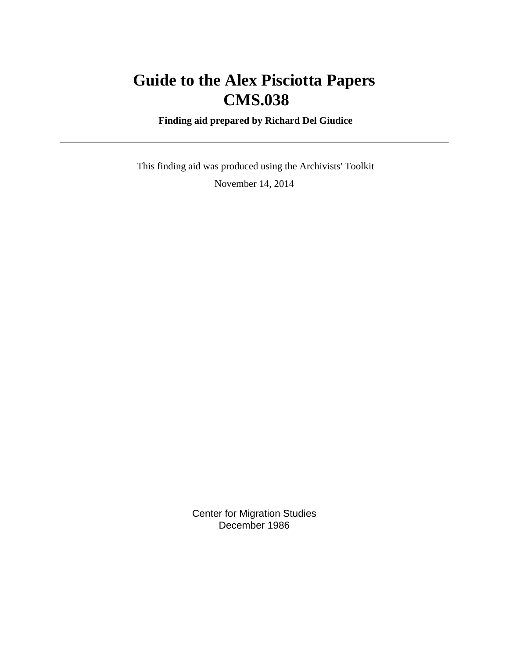# **Guide to the Alex Pisciotta Papers CMS.038**

 **Finding aid prepared by Richard Del Giudice**

 This finding aid was produced using the Archivists' Toolkit November 14, 2014

> Center for Migration Studies December 1986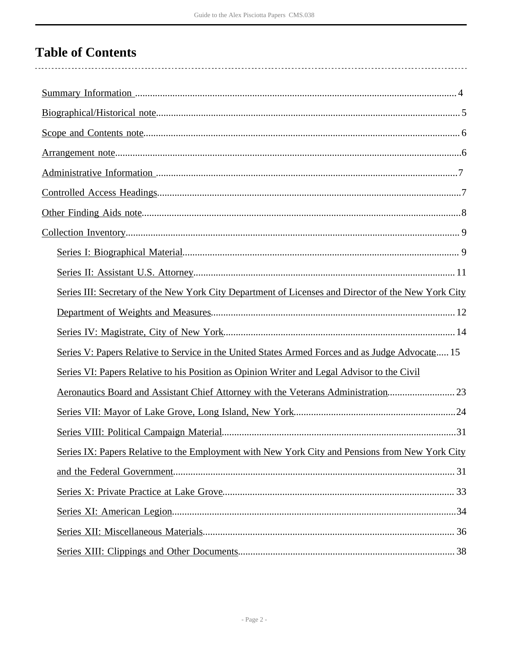# **Table of Contents**

| Series III: Secretary of the New York City Department of Licenses and Director of the New York City |
|-----------------------------------------------------------------------------------------------------|
|                                                                                                     |
|                                                                                                     |
| Series V: Papers Relative to Service in the United States Armed Forces and as Judge Advocate 15     |
| Series VI: Papers Relative to his Position as Opinion Writer and Legal Advisor to the Civil         |
| Aeronautics Board and Assistant Chief Attorney with the Veterans Administration23                   |
|                                                                                                     |
|                                                                                                     |
| Series IX: Papers Relative to the Employment with New York City and Pensions from New York City     |
|                                                                                                     |
|                                                                                                     |
|                                                                                                     |
|                                                                                                     |
|                                                                                                     |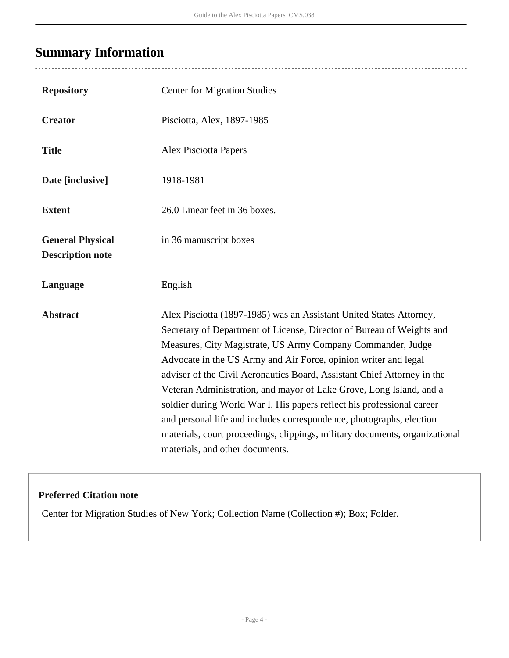# <span id="page-3-0"></span>**Summary Information**

 $\overline{a}$ 

| <b>Repository</b>                                  | <b>Center for Migration Studies</b>                                                                                                                                                                                                                                                                                                                                                                                                                                                                                                                                                                                                                                                                  |
|----------------------------------------------------|------------------------------------------------------------------------------------------------------------------------------------------------------------------------------------------------------------------------------------------------------------------------------------------------------------------------------------------------------------------------------------------------------------------------------------------------------------------------------------------------------------------------------------------------------------------------------------------------------------------------------------------------------------------------------------------------------|
| <b>Creator</b>                                     | Pisciotta, Alex, 1897-1985                                                                                                                                                                                                                                                                                                                                                                                                                                                                                                                                                                                                                                                                           |
| <b>Title</b>                                       | <b>Alex Pisciotta Papers</b>                                                                                                                                                                                                                                                                                                                                                                                                                                                                                                                                                                                                                                                                         |
| Date [inclusive]                                   | 1918-1981                                                                                                                                                                                                                                                                                                                                                                                                                                                                                                                                                                                                                                                                                            |
| <b>Extent</b>                                      | 26.0 Linear feet in 36 boxes.                                                                                                                                                                                                                                                                                                                                                                                                                                                                                                                                                                                                                                                                        |
| <b>General Physical</b><br><b>Description note</b> | in 36 manuscript boxes                                                                                                                                                                                                                                                                                                                                                                                                                                                                                                                                                                                                                                                                               |
| Language                                           | English                                                                                                                                                                                                                                                                                                                                                                                                                                                                                                                                                                                                                                                                                              |
| <b>Abstract</b>                                    | Alex Pisciotta (1897-1985) was an Assistant United States Attorney,<br>Secretary of Department of License, Director of Bureau of Weights and<br>Measures, City Magistrate, US Army Company Commander, Judge<br>Advocate in the US Army and Air Force, opinion writer and legal<br>adviser of the Civil Aeronautics Board, Assistant Chief Attorney in the<br>Veteran Administration, and mayor of Lake Grove, Long Island, and a<br>soldier during World War I. His papers reflect his professional career<br>and personal life and includes correspondence, photographs, election<br>materials, court proceedings, clippings, military documents, organizational<br>materials, and other documents. |

## **Preferred Citation note**

Center for Migration Studies of New York; Collection Name (Collection #); Box; Folder.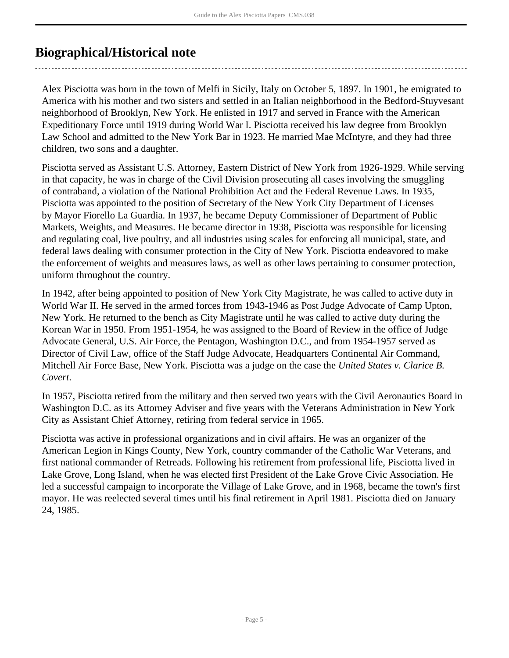# <span id="page-4-0"></span>**Biographical/Historical note**

Alex Pisciotta was born in the town of Melfi in Sicily, Italy on October 5, 1897. In 1901, he emigrated to America with his mother and two sisters and settled in an Italian neighborhood in the Bedford-Stuyvesant neighborhood of Brooklyn, New York. He enlisted in 1917 and served in France with the American Expeditionary Force until 1919 during World War I. Pisciotta received his law degree from Brooklyn Law School and admitted to the New York Bar in 1923. He married Mae McIntyre, and they had three children, two sons and a daughter.

Pisciotta served as Assistant U.S. Attorney, Eastern District of New York from 1926-1929. While serving in that capacity, he was in charge of the Civil Division prosecuting all cases involving the smuggling of contraband, a violation of the National Prohibition Act and the Federal Revenue Laws. In 1935, Pisciotta was appointed to the position of Secretary of the New York City Department of Licenses by Mayor Fiorello La Guardia. In 1937, he became Deputy Commissioner of Department of Public Markets, Weights, and Measures. He became director in 1938, Pisciotta was responsible for licensing and regulating coal, live poultry, and all industries using scales for enforcing all municipal, state, and federal laws dealing with consumer protection in the City of New York. Pisciotta endeavored to make the enforcement of weights and measures laws, as well as other laws pertaining to consumer protection, uniform throughout the country.

In 1942, after being appointed to position of New York City Magistrate, he was called to active duty in World War II. He served in the armed forces from 1943-1946 as Post Judge Advocate of Camp Upton, New York. He returned to the bench as City Magistrate until he was called to active duty during the Korean War in 1950. From 1951-1954, he was assigned to the Board of Review in the office of Judge Advocate General, U.S. Air Force, the Pentagon, Washington D.C., and from 1954-1957 served as Director of Civil Law, office of the Staff Judge Advocate, Headquarters Continental Air Command, Mitchell Air Force Base, New York. Pisciotta was a judge on the case the *United States v. Clarice B. Covert*.

In 1957, Pisciotta retired from the military and then served two years with the Civil Aeronautics Board in Washington D.C. as its Attorney Adviser and five years with the Veterans Administration in New York City as Assistant Chief Attorney, retiring from federal service in 1965.

Pisciotta was active in professional organizations and in civil affairs. He was an organizer of the American Legion in Kings County, New York, country commander of the Catholic War Veterans, and first national commander of Retreads. Following his retirement from professional life, Pisciotta lived in Lake Grove, Long Island, when he was elected first President of the Lake Grove Civic Association. He led a successful campaign to incorporate the Village of Lake Grove, and in 1968, became the town's first mayor. He was reelected several times until his final retirement in April 1981. Pisciotta died on January 24, 1985.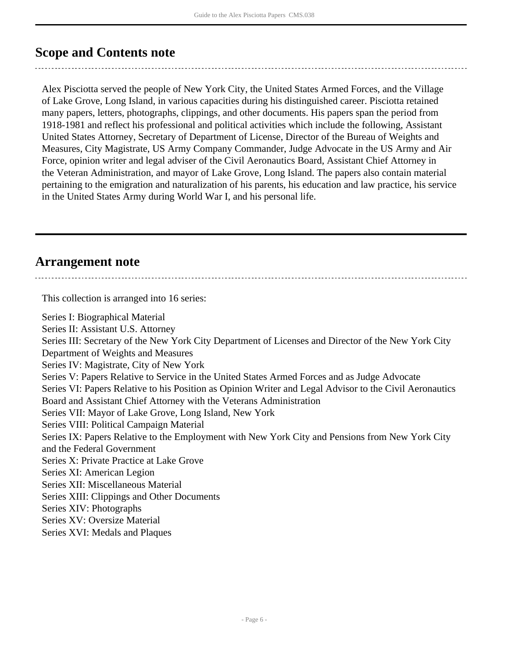# <span id="page-5-0"></span>**Scope and Contents note**

Alex Pisciotta served the people of New York City, the United States Armed Forces, and the Village of Lake Grove, Long Island, in various capacities during his distinguished career. Pisciotta retained many papers, letters, photographs, clippings, and other documents. His papers span the period from 1918-1981 and reflect his professional and political activities which include the following, Assistant United States Attorney, Secretary of Department of License, Director of the Bureau of Weights and Measures, City Magistrate, US Army Company Commander, Judge Advocate in the US Army and Air Force, opinion writer and legal adviser of the Civil Aeronautics Board, Assistant Chief Attorney in the Veteran Administration, and mayor of Lake Grove, Long Island. The papers also contain material pertaining to the emigration and naturalization of his parents, his education and law practice, his service in the United States Army during World War I, and his personal life.

## <span id="page-5-1"></span>**Arrangement note**

This collection is arranged into 16 series: Series I: Biographical Material Series II: Assistant U.S. Attorney Series III: Secretary of the New York City Department of Licenses and Director of the New York City Department of Weights and Measures Series IV: Magistrate, City of New York Series V: Papers Relative to Service in the United States Armed Forces and as Judge Advocate Series VI: Papers Relative to his Position as Opinion Writer and Legal Advisor to the Civil Aeronautics Board and Assistant Chief Attorney with the Veterans Administration Series VII: Mayor of Lake Grove, Long Island, New York Series VIII: Political Campaign Material Series IX: Papers Relative to the Employment with New York City and Pensions from New York City and the Federal Government Series X: Private Practice at Lake Grove Series XI: American Legion Series XII: Miscellaneous Material Series XIII: Clippings and Other Documents Series XIV: Photographs Series XV: Oversize Material Series XVI: Medals and Plaques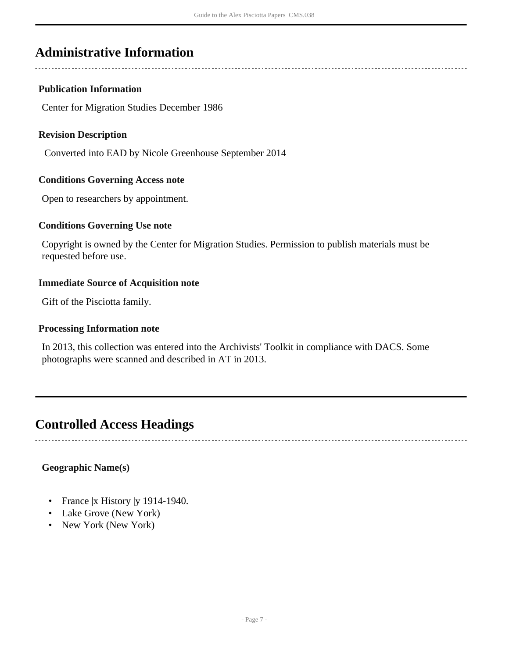# <span id="page-6-0"></span>**Administrative Information**

## **Publication Information**

Center for Migration Studies December 1986

## **Revision Description**

Converted into EAD by Nicole Greenhouse September 2014

## **Conditions Governing Access note**

Open to researchers by appointment.

## **Conditions Governing Use note**

Copyright is owned by the Center for Migration Studies. Permission to publish materials must be requested before use.

## **Immediate Source of Acquisition note**

Gift of the Pisciotta family.

### **Processing Information note**

In 2013, this collection was entered into the Archivists' Toolkit in compliance with DACS. Some photographs were scanned and described in AT in 2013.

## <span id="page-6-1"></span>**Controlled Access Headings**

## **Geographic Name(s)**

- France |x History |y 1914-1940.
- Lake Grove (New York)
- New York (New York)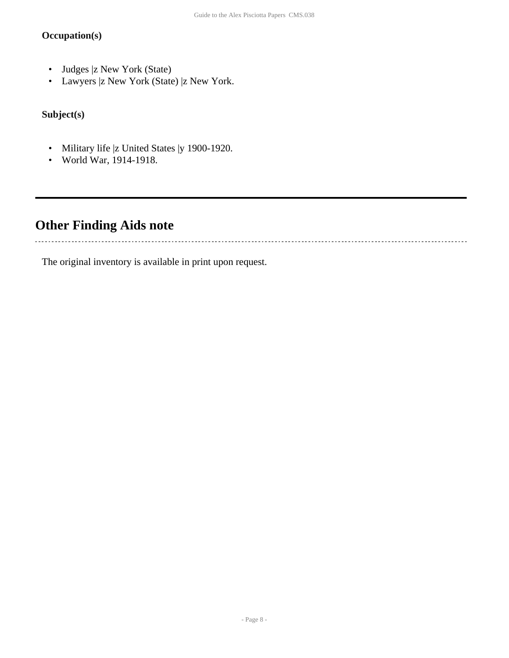## **Occupation(s)**

- Judges |z New York (State)
- Lawyers |z New York (State) |z New York.

**Subject(s)**

- Military life |z United States |y 1900-1920.
- World War, 1914-1918.

# <span id="page-7-0"></span>**Other Finding Aids note**

. . . . . . . . . . . . .

The original inventory is available in print upon request.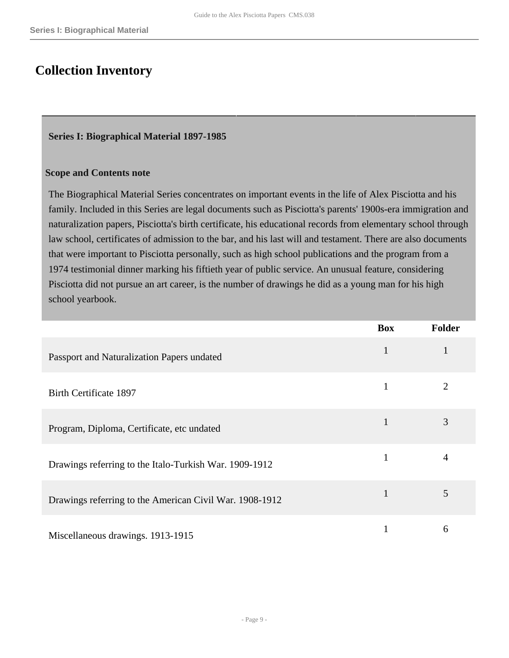## <span id="page-8-0"></span>**Collection Inventory**

## <span id="page-8-1"></span>**Series I: Biographical Material 1897-1985**

## **Scope and Contents note**

The Biographical Material Series concentrates on important events in the life of Alex Pisciotta and his family. Included in this Series are legal documents such as Pisciotta's parents' 1900s-era immigration and naturalization papers, Pisciotta's birth certificate, his educational records from elementary school through law school, certificates of admission to the bar, and his last will and testament. There are also documents that were important to Pisciotta personally, such as high school publications and the program from a 1974 testimonial dinner marking his fiftieth year of public service. An unusual feature, considering Pisciotta did not pursue an art career, is the number of drawings he did as a young man for his high school yearbook.

|                                                         | <b>Box</b>   | <b>Folder</b>  |
|---------------------------------------------------------|--------------|----------------|
| Passport and Naturalization Papers undated              | $\mathbf{1}$ |                |
| Birth Certificate 1897                                  | 1            | $\overline{2}$ |
| Program, Diploma, Certificate, etc undated              | $\mathbf{1}$ | 3              |
| Drawings referring to the Italo-Turkish War. 1909-1912  |              | 4              |
| Drawings referring to the American Civil War. 1908-1912 | 1            | 5              |
| Miscellaneous drawings. 1913-1915                       |              | 6              |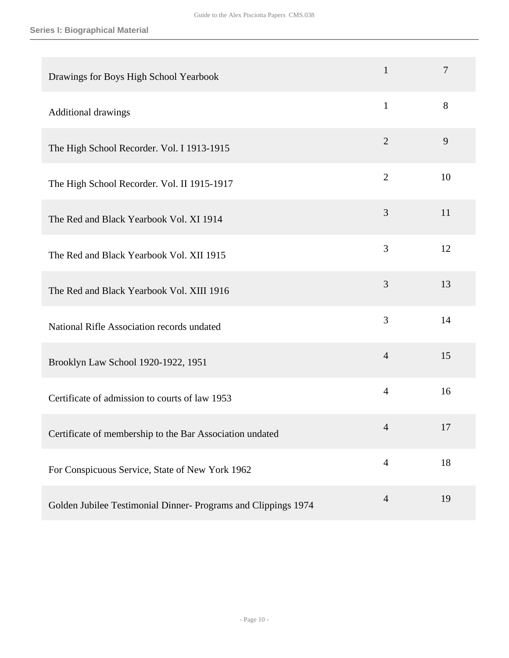| Drawings for Boys High School Yearbook                         | $\mathbf{1}$   | 7  |
|----------------------------------------------------------------|----------------|----|
| Additional drawings                                            | $\mathbf{1}$   | 8  |
| The High School Recorder. Vol. I 1913-1915                     | $\overline{2}$ | 9  |
| The High School Recorder. Vol. II 1915-1917                    | $\overline{2}$ | 10 |
| The Red and Black Yearbook Vol. XI 1914                        | 3              | 11 |
| The Red and Black Yearbook Vol. XII 1915                       | 3              | 12 |
| The Red and Black Yearbook Vol. XIII 1916                      | 3              | 13 |
| National Rifle Association records undated                     | 3              | 14 |
| Brooklyn Law School 1920-1922, 1951                            | $\overline{4}$ | 15 |
| Certificate of admission to courts of law 1953                 | $\overline{4}$ | 16 |
| Certificate of membership to the Bar Association undated       | $\overline{4}$ | 17 |
| For Conspicuous Service, State of New York 1962                | $\overline{4}$ | 18 |
| Golden Jubilee Testimonial Dinner- Programs and Clippings 1974 | $\overline{4}$ | 19 |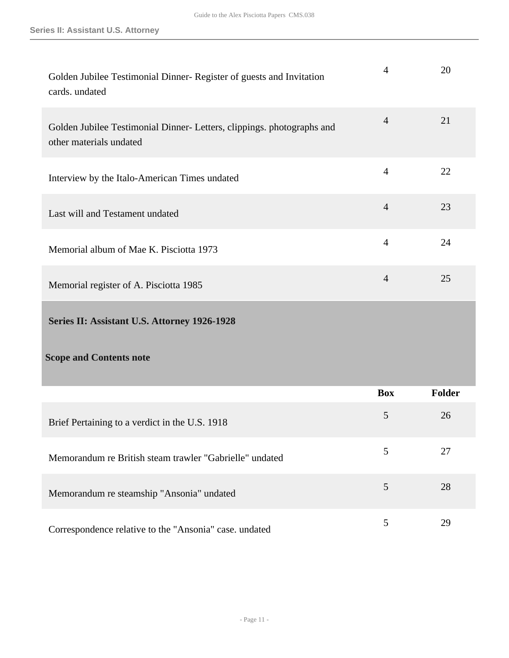<span id="page-10-0"></span>

| Golden Jubilee Testimonial Dinner- Register of guests and Invitation<br>cards. undated            | 4              | 20     |
|---------------------------------------------------------------------------------------------------|----------------|--------|
| Golden Jubilee Testimonial Dinner- Letters, clippings. photographs and<br>other materials undated | $\overline{4}$ | 21     |
| Interview by the Italo-American Times undated                                                     | $\overline{4}$ | 22     |
| Last will and Testament undated                                                                   | $\overline{4}$ | 23     |
| Memorial album of Mae K. Pisciotta 1973                                                           | $\overline{4}$ | 24     |
| Memorial register of A. Pisciotta 1985                                                            | $\overline{4}$ | 25     |
| Series II: Assistant U.S. Attorney 1926-1928                                                      |                |        |
|                                                                                                   |                |        |
| <b>Scope and Contents note</b>                                                                    |                |        |
|                                                                                                   | <b>Box</b>     | Folder |
| Brief Pertaining to a verdict in the U.S. 1918                                                    | 5              | 26     |
| Memorandum re British steam trawler "Gabrielle" undated                                           | 5              | 27     |
| Memorandum re steamship "Ansonia" undated                                                         | 5              | 28     |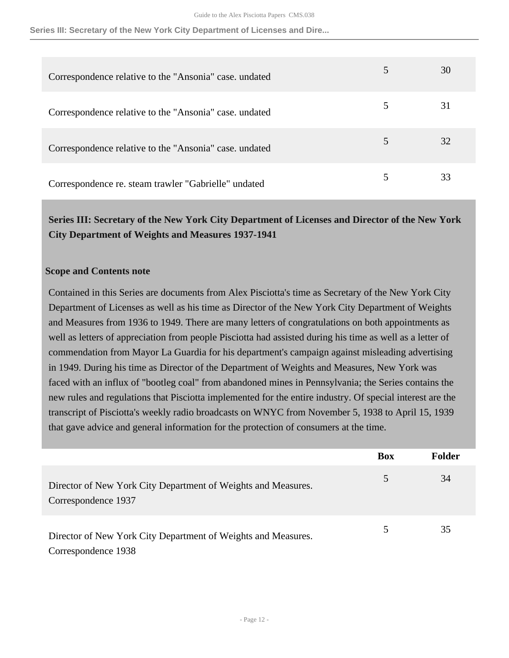**Series III: Secretary of the New York City Department of Licenses and Dire...**

| Correspondence relative to the "Ansonia" case, undated |   | 30 |
|--------------------------------------------------------|---|----|
| Correspondence relative to the "Ansonia" case, undated | 5 | 31 |
| Correspondence relative to the "Ansonia" case, undated |   | 32 |
| Correspondence re. steam trawler "Gabrielle" undated   |   | 33 |

<span id="page-11-0"></span>**Series III: Secretary of the New York City Department of Licenses and Director of the New York City Department of Weights and Measures 1937-1941** 

### **Scope and Contents note**

Contained in this Series are documents from Alex Pisciotta's time as Secretary of the New York City Department of Licenses as well as his time as Director of the New York City Department of Weights and Measures from 1936 to 1949. There are many letters of congratulations on both appointments as well as letters of appreciation from people Pisciotta had assisted during his time as well as a letter of commendation from Mayor La Guardia for his department's campaign against misleading advertising in 1949. During his time as Director of the Department of Weights and Measures, New York was faced with an influx of "bootleg coal" from abandoned mines in Pennsylvania; the Series contains the new rules and regulations that Pisciotta implemented for the entire industry. Of special interest are the transcript of Pisciotta's weekly radio broadcasts on WNYC from November 5, 1938 to April 15, 1939 that gave advice and general information for the protection of consumers at the time.

|                                                                                      | <b>Box</b> | <b>Folder</b> |
|--------------------------------------------------------------------------------------|------------|---------------|
| Director of New York City Department of Weights and Measures.<br>Correspondence 1937 | 5          | 34            |
| Director of New York City Department of Weights and Measures.<br>Correspondence 1938 |            | 35            |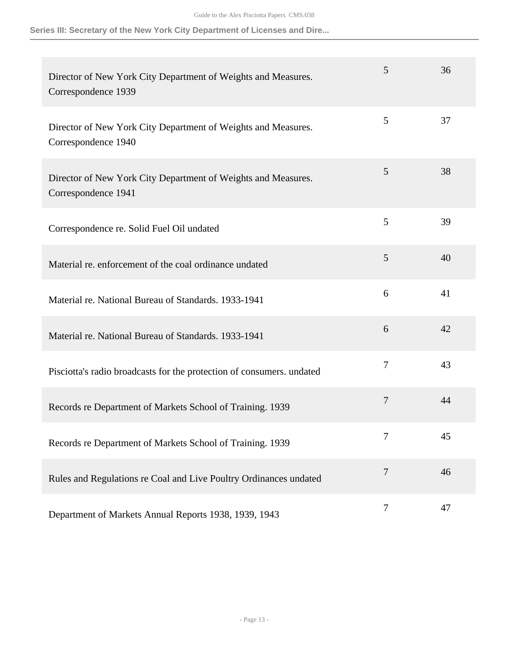**Series III: Secretary of the New York City Department of Licenses and Dire...**

| Director of New York City Department of Weights and Measures.<br>Correspondence 1939 | 5              | 36 |
|--------------------------------------------------------------------------------------|----------------|----|
| Director of New York City Department of Weights and Measures.<br>Correspondence 1940 | 5              | 37 |
| Director of New York City Department of Weights and Measures.<br>Correspondence 1941 | 5              | 38 |
| Correspondence re. Solid Fuel Oil undated                                            | 5              | 39 |
| Material re. enforcement of the coal ordinance undated                               | 5              | 40 |
| Material re. National Bureau of Standards. 1933-1941                                 | 6              | 41 |
| Material re. National Bureau of Standards. 1933-1941                                 | 6              | 42 |
| Pisciotta's radio broadcasts for the protection of consumers. undated                | $\overline{7}$ | 43 |
| Records re Department of Markets School of Training. 1939                            | 7              | 44 |
| Records re Department of Markets School of Training. 1939                            | 7              | 45 |
| Rules and Regulations re Coal and Live Poultry Ordinances undated                    | 7              | 46 |
| Department of Markets Annual Reports 1938, 1939, 1943                                | $\tau$         | 47 |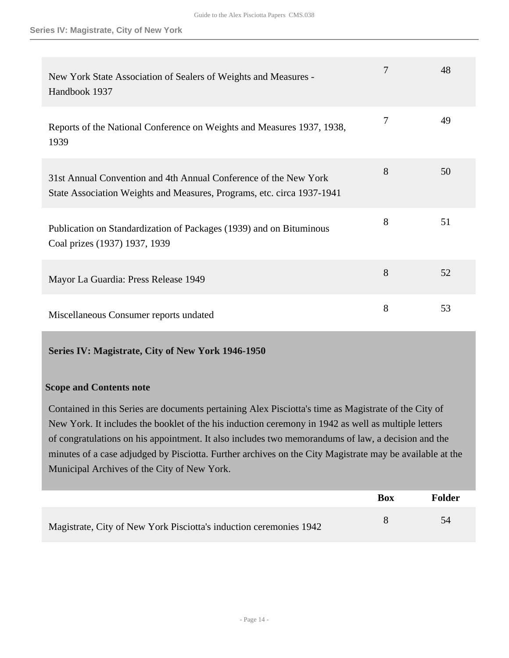| New York State Association of Sealers of Weights and Measures -<br>Handbook 1937                                                           |   | 48 |
|--------------------------------------------------------------------------------------------------------------------------------------------|---|----|
| Reports of the National Conference on Weights and Measures 1937, 1938,<br>1939                                                             | 7 | 49 |
| 31st Annual Convention and 4th Annual Conference of the New York<br>State Association Weights and Measures, Programs, etc. circa 1937-1941 | 8 | 50 |
| Publication on Standardization of Packages (1939) and on Bituminous<br>Coal prizes (1937) 1937, 1939                                       | 8 | 51 |
| Mayor La Guardia: Press Release 1949                                                                                                       | 8 | 52 |
| Miscellaneous Consumer reports undated                                                                                                     | 8 | 53 |

## <span id="page-13-0"></span>**Series IV: Magistrate, City of New York 1946-1950**

## **Scope and Contents note**

Contained in this Series are documents pertaining Alex Pisciotta's time as Magistrate of the City of New York. It includes the booklet of the his induction ceremony in 1942 as well as multiple letters of congratulations on his appointment. It also includes two memorandums of law, a decision and the minutes of a case adjudged by Pisciotta. Further archives on the City Magistrate may be available at the Municipal Archives of the City of New York.

|                                                                    | <b>Box</b> | Folder |
|--------------------------------------------------------------------|------------|--------|
| Magistrate, City of New York Pisciotta's induction ceremonies 1942 |            | 54     |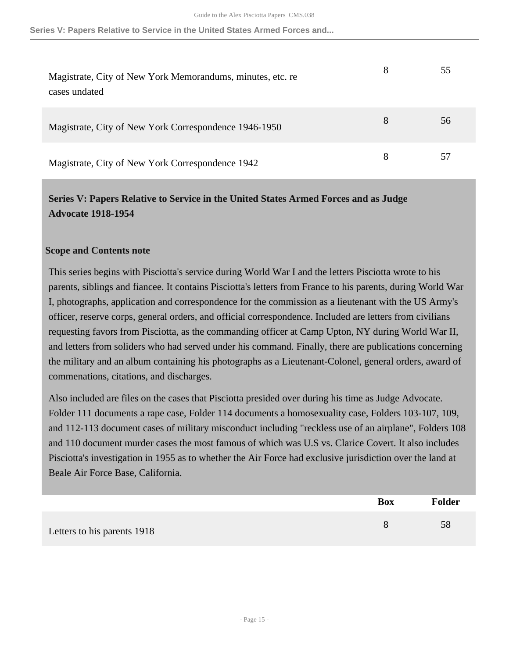| Magistrate, City of New York Memorandums, minutes, etc. re<br>cases undated | 8 | 55 |
|-----------------------------------------------------------------------------|---|----|
| Magistrate, City of New York Correspondence 1946-1950                       | 8 | 56 |
| Magistrate, City of New York Correspondence 1942                            | 8 |    |

## <span id="page-14-0"></span>**Series V: Papers Relative to Service in the United States Armed Forces and as Judge Advocate 1918-1954**

### **Scope and Contents note**

This series begins with Pisciotta's service during World War I and the letters Pisciotta wrote to his parents, siblings and fiancee. It contains Pisciotta's letters from France to his parents, during World War I, photographs, application and correspondence for the commission as a lieutenant with the US Army's officer, reserve corps, general orders, and official correspondence. Included are letters from civilians requesting favors from Pisciotta, as the commanding officer at Camp Upton, NY during World War II, and letters from soliders who had served under his command. Finally, there are publications concerning the military and an album containing his photographs as a Lieutenant-Colonel, general orders, award of commenations, citations, and discharges.

Also included are files on the cases that Pisciotta presided over during his time as Judge Advocate. Folder 111 documents a rape case, Folder 114 documents a homosexuality case, Folders 103-107, 109, and 112-113 document cases of military misconduct including "reckless use of an airplane", Folders 108 and 110 document murder cases the most famous of which was U.S vs. Clarice Covert. It also includes Pisciotta's investigation in 1955 as to whether the Air Force had exclusive jurisdiction over the land at Beale Air Force Base, California.

|                             | <b>Box</b> | <b>Folder</b> |
|-----------------------------|------------|---------------|
| Letters to his parents 1918 |            | 58            |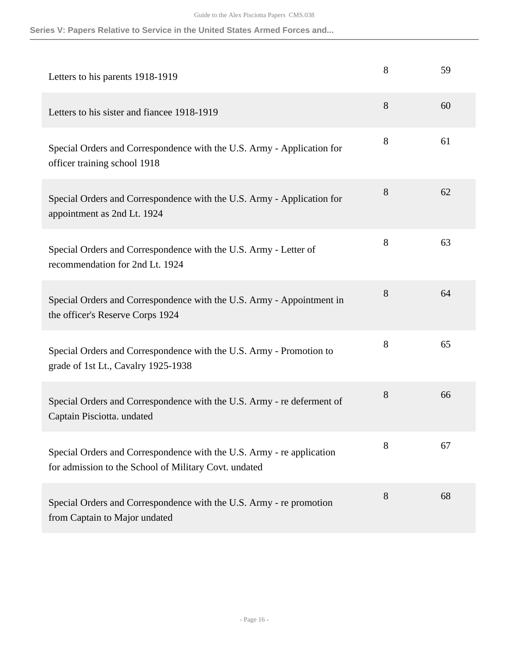| Letters to his parents 1918-1919                                                                                               | 8 | 59 |
|--------------------------------------------------------------------------------------------------------------------------------|---|----|
| Letters to his sister and fiancee 1918-1919                                                                                    | 8 | 60 |
| Special Orders and Correspondence with the U.S. Army - Application for<br>officer training school 1918                         | 8 | 61 |
| Special Orders and Correspondence with the U.S. Army - Application for<br>appointment as 2nd Lt. 1924                          | 8 | 62 |
| Special Orders and Correspondence with the U.S. Army - Letter of<br>recommendation for 2nd Lt. 1924                            | 8 | 63 |
| Special Orders and Correspondence with the U.S. Army - Appointment in<br>the officer's Reserve Corps 1924                      | 8 | 64 |
| Special Orders and Correspondence with the U.S. Army - Promotion to<br>grade of 1st Lt., Cavalry 1925-1938                     | 8 | 65 |
| Special Orders and Correspondence with the U.S. Army - re deferment of<br>Captain Pisciotta. undated                           | 8 | 66 |
| Special Orders and Correspondence with the U.S. Army - re application<br>for admission to the School of Military Covt. undated | 8 | 67 |
| Special Orders and Correspondence with the U.S. Army - re promotion<br>from Captain to Major undated                           | 8 | 68 |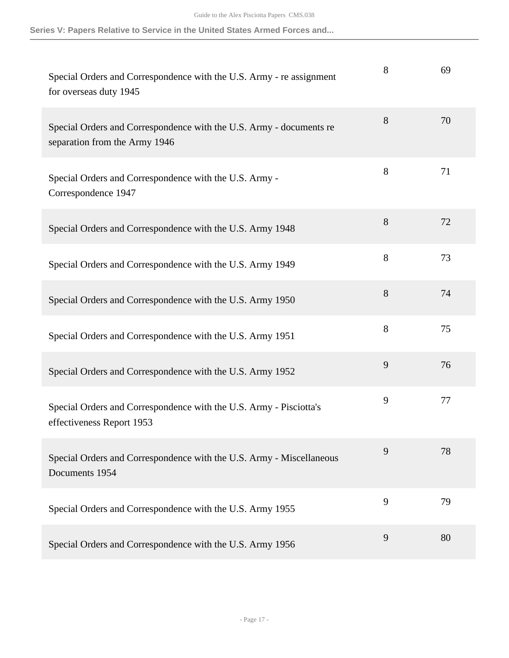| Special Orders and Correspondence with the U.S. Army - re assignment<br>for overseas duty 1945       | 8 | 69 |
|------------------------------------------------------------------------------------------------------|---|----|
| Special Orders and Correspondence with the U.S. Army - documents re<br>separation from the Army 1946 | 8 | 70 |
| Special Orders and Correspondence with the U.S. Army -<br>Correspondence 1947                        | 8 | 71 |
| Special Orders and Correspondence with the U.S. Army 1948                                            | 8 | 72 |
| Special Orders and Correspondence with the U.S. Army 1949                                            | 8 | 73 |
| Special Orders and Correspondence with the U.S. Army 1950                                            | 8 | 74 |
| Special Orders and Correspondence with the U.S. Army 1951                                            | 8 | 75 |
| Special Orders and Correspondence with the U.S. Army 1952                                            | 9 | 76 |
| Special Orders and Correspondence with the U.S. Army - Pisciotta's<br>effectiveness Report 1953      | 9 | 77 |
| Special Orders and Correspondence with the U.S. Army - Miscellaneous<br>Documents 1954               | 9 | 78 |
| Special Orders and Correspondence with the U.S. Army 1955                                            | 9 | 79 |
| Special Orders and Correspondence with the U.S. Army 1956                                            | 9 | 80 |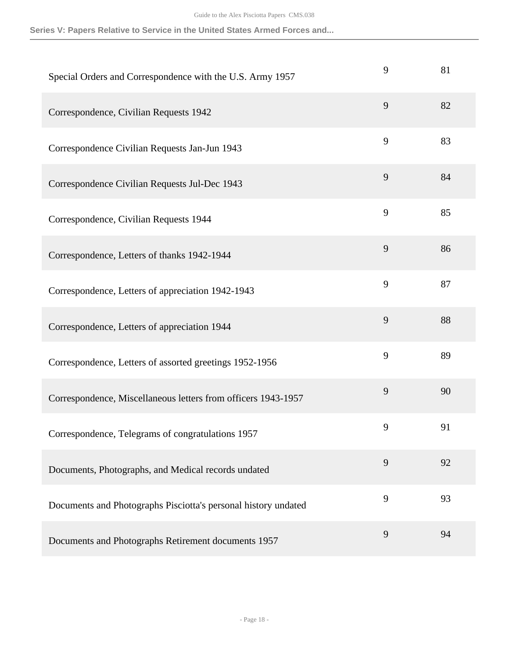| Special Orders and Correspondence with the U.S. Army 1957      | 9 | 81 |
|----------------------------------------------------------------|---|----|
| Correspondence, Civilian Requests 1942                         | 9 | 82 |
| Correspondence Civilian Requests Jan-Jun 1943                  | 9 | 83 |
| Correspondence Civilian Requests Jul-Dec 1943                  | 9 | 84 |
| Correspondence, Civilian Requests 1944                         | 9 | 85 |
| Correspondence, Letters of thanks 1942-1944                    | 9 | 86 |
| Correspondence, Letters of appreciation 1942-1943              | 9 | 87 |
| Correspondence, Letters of appreciation 1944                   | 9 | 88 |
| Correspondence, Letters of assorted greetings 1952-1956        | 9 | 89 |
| Correspondence, Miscellaneous letters from officers 1943-1957  | 9 | 90 |
| Correspondence, Telegrams of congratulations 1957              | 9 | 91 |
| Documents, Photographs, and Medical records undated            | 9 | 92 |
| Documents and Photographs Pisciotta's personal history undated | 9 | 93 |
| Documents and Photographs Retirement documents 1957            | 9 | 94 |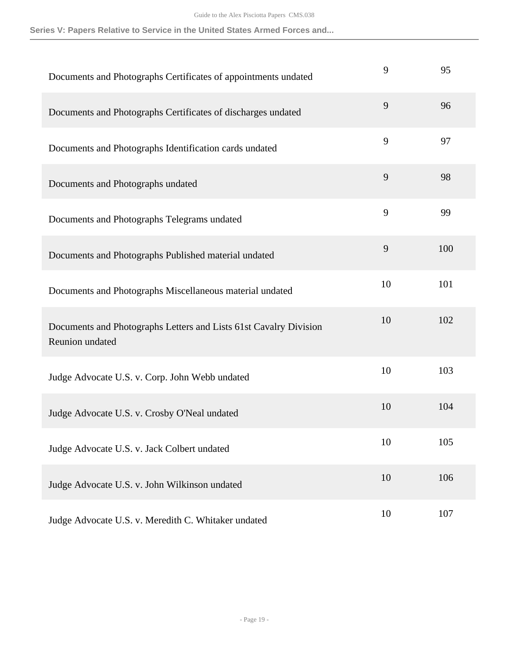| Documents and Photographs Certificates of appointments undated                       | 9  | 95  |
|--------------------------------------------------------------------------------------|----|-----|
| Documents and Photographs Certificates of discharges undated                         | 9  | 96  |
| Documents and Photographs Identification cards undated                               | 9  | 97  |
| Documents and Photographs undated                                                    | 9  | 98  |
| Documents and Photographs Telegrams undated                                          | 9  | 99  |
| Documents and Photographs Published material undated                                 | 9  | 100 |
| Documents and Photographs Miscellaneous material undated                             | 10 | 101 |
| Documents and Photographs Letters and Lists 61st Cavalry Division<br>Reunion undated | 10 | 102 |
| Judge Advocate U.S. v. Corp. John Webb undated                                       | 10 | 103 |
| Judge Advocate U.S. v. Crosby O'Neal undated                                         | 10 | 104 |
| Judge Advocate U.S. v. Jack Colbert undated                                          | 10 | 105 |
| Judge Advocate U.S. v. John Wilkinson undated                                        | 10 | 106 |
| Judge Advocate U.S. v. Meredith C. Whitaker undated                                  | 10 | 107 |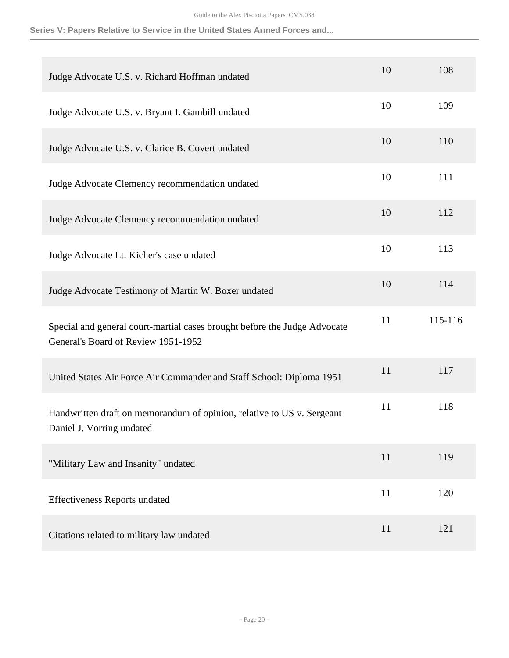| Judge Advocate U.S. v. Richard Hoffman undated                                                                   | 10 | 108     |
|------------------------------------------------------------------------------------------------------------------|----|---------|
| Judge Advocate U.S. v. Bryant I. Gambill undated                                                                 | 10 | 109     |
| Judge Advocate U.S. v. Clarice B. Covert undated                                                                 | 10 | 110     |
| Judge Advocate Clemency recommendation undated                                                                   | 10 | 111     |
| Judge Advocate Clemency recommendation undated                                                                   | 10 | 112     |
| Judge Advocate Lt. Kicher's case undated                                                                         | 10 | 113     |
| Judge Advocate Testimony of Martin W. Boxer undated                                                              | 10 | 114     |
| Special and general court-martial cases brought before the Judge Advocate<br>General's Board of Review 1951-1952 | 11 | 115-116 |
| United States Air Force Air Commander and Staff School: Diploma 1951                                             | 11 | 117     |
| Handwritten draft on memorandum of opinion, relative to US v. Sergeant<br>Daniel J. Vorring undated              | 11 | 118     |
| "Military Law and Insanity" undated                                                                              | 11 | 119     |
| <b>Effectiveness Reports undated</b>                                                                             | 11 | 120     |
| Citations related to military law undated                                                                        | 11 | 121     |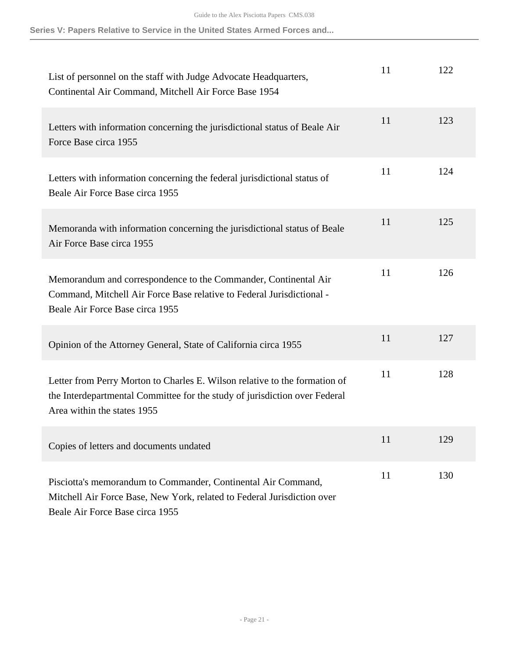| List of personnel on the staff with Judge Advocate Headquarters,<br>Continental Air Command, Mitchell Air Force Base 1954                                                               | 11 | 122 |
|-----------------------------------------------------------------------------------------------------------------------------------------------------------------------------------------|----|-----|
| Letters with information concerning the jurisdictional status of Beale Air<br>Force Base circa 1955                                                                                     | 11 | 123 |
| Letters with information concerning the federal jurisdictional status of<br>Beale Air Force Base circa 1955                                                                             | 11 | 124 |
| Memoranda with information concerning the jurisdictional status of Beale<br>Air Force Base circa 1955                                                                                   | 11 | 125 |
| Memorandum and correspondence to the Commander, Continental Air<br>Command, Mitchell Air Force Base relative to Federal Jurisdictional -<br>Beale Air Force Base circa 1955             | 11 | 126 |
| Opinion of the Attorney General, State of California circa 1955                                                                                                                         | 11 | 127 |
| Letter from Perry Morton to Charles E. Wilson relative to the formation of<br>the Interdepartmental Committee for the study of jurisdiction over Federal<br>Area within the states 1955 | 11 | 128 |
| Copies of letters and documents undated                                                                                                                                                 | 11 | 129 |
| Pisciotta's memorandum to Commander, Continental Air Command,<br>Mitchell Air Force Base, New York, related to Federal Jurisdiction over<br>Beale Air Force Base circa 1955             | 11 | 130 |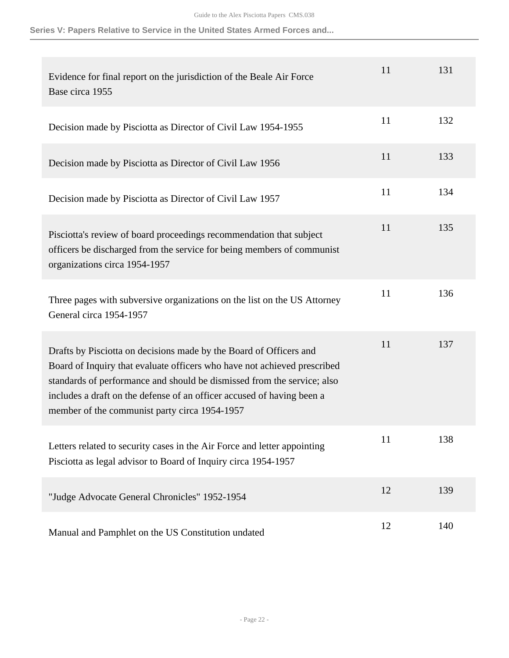| Evidence for final report on the jurisdiction of the Beale Air Force<br>Base circa 1955                                                                                                                                                                                                                                                              | 11 | 131 |
|------------------------------------------------------------------------------------------------------------------------------------------------------------------------------------------------------------------------------------------------------------------------------------------------------------------------------------------------------|----|-----|
| Decision made by Pisciotta as Director of Civil Law 1954-1955                                                                                                                                                                                                                                                                                        | 11 | 132 |
| Decision made by Pisciotta as Director of Civil Law 1956                                                                                                                                                                                                                                                                                             | 11 | 133 |
| Decision made by Pisciotta as Director of Civil Law 1957                                                                                                                                                                                                                                                                                             | 11 | 134 |
| Pisciotta's review of board proceedings recommendation that subject<br>officers be discharged from the service for being members of communist<br>organizations circa 1954-1957                                                                                                                                                                       | 11 | 135 |
| Three pages with subversive organizations on the list on the US Attorney<br>General circa 1954-1957                                                                                                                                                                                                                                                  | 11 | 136 |
| Drafts by Pisciotta on decisions made by the Board of Officers and<br>Board of Inquiry that evaluate officers who have not achieved prescribed<br>standards of performance and should be dismissed from the service; also<br>includes a draft on the defense of an officer accused of having been a<br>member of the communist party circa 1954-1957 | 11 | 137 |
| Letters related to security cases in the Air Force and letter appointing<br>Pisciotta as legal advisor to Board of Inquiry circa 1954-1957                                                                                                                                                                                                           | 11 | 138 |
| "Judge Advocate General Chronicles" 1952-1954                                                                                                                                                                                                                                                                                                        | 12 | 139 |
| Manual and Pamphlet on the US Constitution undated                                                                                                                                                                                                                                                                                                   | 12 | 140 |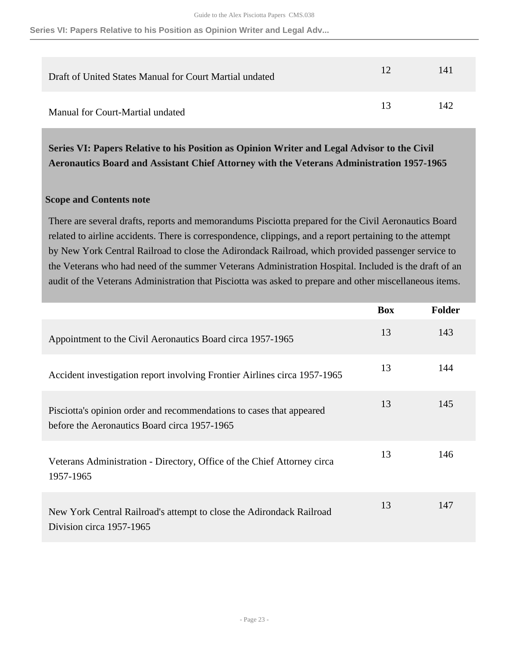**Series VI: Papers Relative to his Position as Opinion Writer and Legal Adv...**

| Draft of United States Manual for Court Martial undated | 12 | 141 |
|---------------------------------------------------------|----|-----|
| Manual for Court-Martial undated                        | 13 | 142 |

<span id="page-22-0"></span>**Series VI: Papers Relative to his Position as Opinion Writer and Legal Advisor to the Civil Aeronautics Board and Assistant Chief Attorney with the Veterans Administration 1957-1965** 

### **Scope and Contents note**

There are several drafts, reports and memorandums Pisciotta prepared for the Civil Aeronautics Board related to airline accidents. There is correspondence, clippings, and a report pertaining to the attempt by New York Central Railroad to close the Adirondack Railroad, which provided passenger service to the Veterans who had need of the summer Veterans Administration Hospital. Included is the draft of an audit of the Veterans Administration that Pisciotta was asked to prepare and other miscellaneous items.

|                                                                                                                      | <b>Box</b> | <b>Folder</b> |
|----------------------------------------------------------------------------------------------------------------------|------------|---------------|
| Appointment to the Civil Aeronautics Board circa 1957-1965                                                           | 13         | 143           |
| Accident investigation report involving Frontier Airlines circa 1957-1965                                            | 13         | 144           |
| Pisciotta's opinion order and recommendations to cases that appeared<br>before the Aeronautics Board circa 1957-1965 | 13         | 145           |
| Veterans Administration - Directory, Office of the Chief Attorney circa<br>1957-1965                                 | 13         | 146           |
| New York Central Railroad's attempt to close the Adirondack Railroad<br>Division circa 1957-1965                     | 13         | 147           |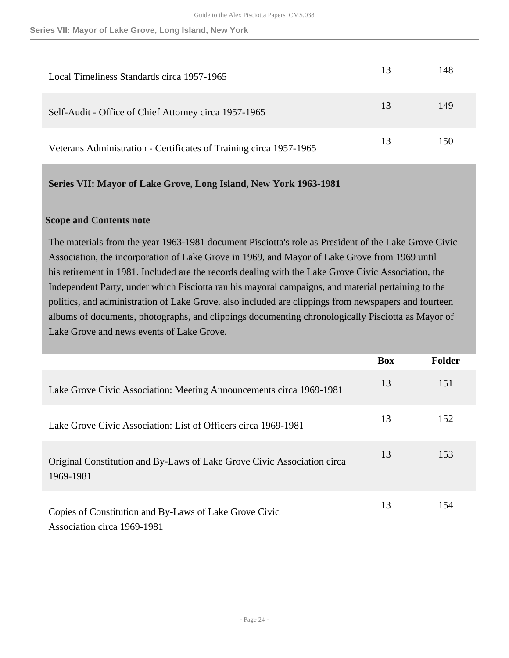| Local Timeliness Standards circa 1957-1965                         | 13 | 148 |
|--------------------------------------------------------------------|----|-----|
| Self-Audit - Office of Chief Attorney circa 1957-1965              | 13 | 149 |
| Veterans Administration - Certificates of Training circa 1957-1965 | 13 | 150 |

<span id="page-23-0"></span>**Series VII: Mayor of Lake Grove, Long Island, New York 1963-1981** 

#### **Scope and Contents note**

The materials from the year 1963-1981 document Pisciotta's role as President of the Lake Grove Civic Association, the incorporation of Lake Grove in 1969, and Mayor of Lake Grove from 1969 until his retirement in 1981. Included are the records dealing with the Lake Grove Civic Association, the Independent Party, under which Pisciotta ran his mayoral campaigns, and material pertaining to the politics, and administration of Lake Grove. also included are clippings from newspapers and fourteen albums of documents, photographs, and clippings documenting chronologically Pisciotta as Mayor of Lake Grove and news events of Lake Grove.

|                                                                                       | <b>Box</b> | <b>Folder</b> |
|---------------------------------------------------------------------------------------|------------|---------------|
| Lake Grove Civic Association: Meeting Announcements circa 1969-1981                   | 13         | 151           |
| Lake Grove Civic Association: List of Officers circa 1969-1981                        | 13         | 152           |
| Original Constitution and By-Laws of Lake Grove Civic Association circa<br>1969-1981  | 13         | 153           |
| Copies of Constitution and By-Laws of Lake Grove Civic<br>Association circa 1969-1981 | 13         | 154           |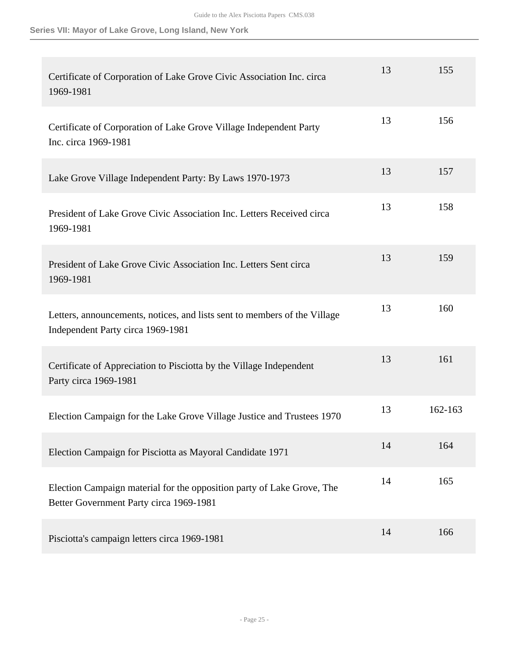| Certificate of Corporation of Lake Grove Civic Association Inc. circa<br>1969-1981                                | 13 | 155     |
|-------------------------------------------------------------------------------------------------------------------|----|---------|
| Certificate of Corporation of Lake Grove Village Independent Party<br>Inc. circa 1969-1981                        | 13 | 156     |
| Lake Grove Village Independent Party: By Laws 1970-1973                                                           | 13 | 157     |
| President of Lake Grove Civic Association Inc. Letters Received circa<br>1969-1981                                | 13 | 158     |
| President of Lake Grove Civic Association Inc. Letters Sent circa<br>1969-1981                                    | 13 | 159     |
| Letters, announcements, notices, and lists sent to members of the Village<br>Independent Party circa 1969-1981    | 13 | 160     |
| Certificate of Appreciation to Pisciotta by the Village Independent<br>Party circa 1969-1981                      | 13 | 161     |
| Election Campaign for the Lake Grove Village Justice and Trustees 1970                                            | 13 | 162-163 |
| Election Campaign for Pisciotta as Mayoral Candidate 1971                                                         | 14 | 164     |
| Election Campaign material for the opposition party of Lake Grove, The<br>Better Government Party circa 1969-1981 | 14 | 165     |
| Pisciotta's campaign letters circa 1969-1981                                                                      | 14 | 166     |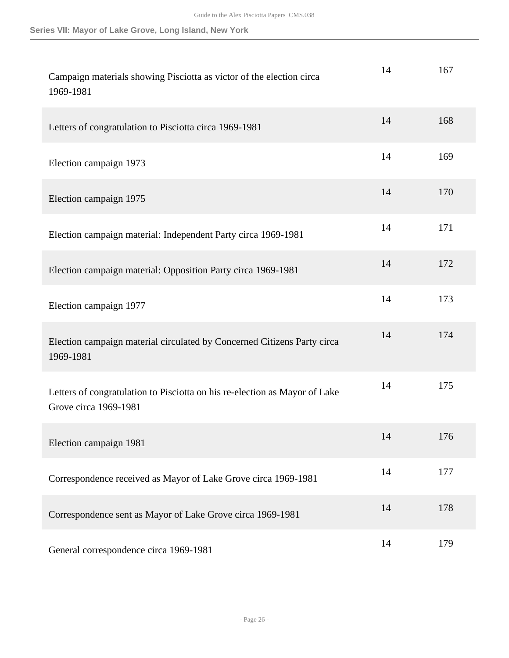| Campaign materials showing Pisciotta as victor of the election circa<br>1969-1981                   | 14 | 167 |
|-----------------------------------------------------------------------------------------------------|----|-----|
| Letters of congratulation to Pisciotta circa 1969-1981                                              | 14 | 168 |
| Election campaign 1973                                                                              | 14 | 169 |
| Election campaign 1975                                                                              | 14 | 170 |
| Election campaign material: Independent Party circa 1969-1981                                       | 14 | 171 |
| Election campaign material: Opposition Party circa 1969-1981                                        | 14 | 172 |
| Election campaign 1977                                                                              | 14 | 173 |
| Election campaign material circulated by Concerned Citizens Party circa<br>1969-1981                | 14 | 174 |
| Letters of congratulation to Pisciotta on his re-election as Mayor of Lake<br>Grove circa 1969-1981 | 14 | 175 |
| Election campaign 1981                                                                              | 14 | 176 |
| Correspondence received as Mayor of Lake Grove circa 1969-1981                                      | 14 | 177 |
| Correspondence sent as Mayor of Lake Grove circa 1969-1981                                          | 14 | 178 |
| General correspondence circa 1969-1981                                                              | 14 | 179 |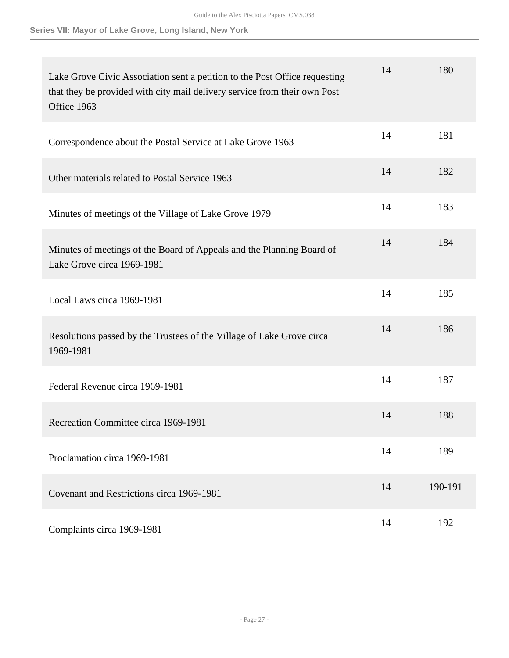| Lake Grove Civic Association sent a petition to the Post Office requesting<br>that they be provided with city mail delivery service from their own Post<br>Office 1963 | 14 | 180     |
|------------------------------------------------------------------------------------------------------------------------------------------------------------------------|----|---------|
| Correspondence about the Postal Service at Lake Grove 1963                                                                                                             | 14 | 181     |
| Other materials related to Postal Service 1963                                                                                                                         | 14 | 182     |
| Minutes of meetings of the Village of Lake Grove 1979                                                                                                                  | 14 | 183     |
| Minutes of meetings of the Board of Appeals and the Planning Board of<br>Lake Grove circa 1969-1981                                                                    | 14 | 184     |
| Local Laws circa 1969-1981                                                                                                                                             | 14 | 185     |
| Resolutions passed by the Trustees of the Village of Lake Grove circa<br>1969-1981                                                                                     | 14 | 186     |
| Federal Revenue circa 1969-1981                                                                                                                                        | 14 | 187     |
| Recreation Committee circa 1969-1981                                                                                                                                   | 14 | 188     |
| Proclamation circa 1969-1981                                                                                                                                           | 14 | 189     |
| Covenant and Restrictions circa 1969-1981                                                                                                                              | 14 | 190-191 |
| Complaints circa 1969-1981                                                                                                                                             | 14 | 192     |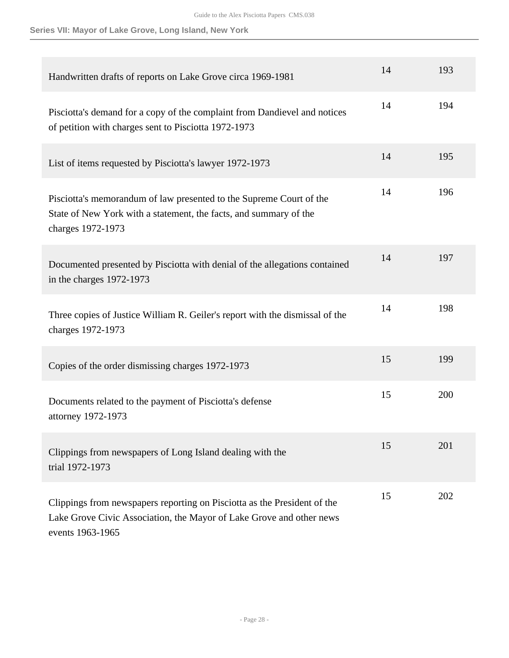| Handwritten drafts of reports on Lake Grove circa 1969-1981                                                                                                          | 14 | 193 |
|----------------------------------------------------------------------------------------------------------------------------------------------------------------------|----|-----|
| Pisciotta's demand for a copy of the complaint from Dandievel and notices<br>of petition with charges sent to Pisciotta 1972-1973                                    | 14 | 194 |
| List of items requested by Pisciotta's lawyer 1972-1973                                                                                                              | 14 | 195 |
| Pisciotta's memorandum of law presented to the Supreme Court of the<br>State of New York with a statement, the facts, and summary of the<br>charges 1972-1973        | 14 | 196 |
| Documented presented by Pisciotta with denial of the allegations contained<br>in the charges 1972-1973                                                               | 14 | 197 |
| Three copies of Justice William R. Geiler's report with the dismissal of the<br>charges 1972-1973                                                                    | 14 | 198 |
| Copies of the order dismissing charges 1972-1973                                                                                                                     | 15 | 199 |
| Documents related to the payment of Pisciotta's defense<br>attorney 1972-1973                                                                                        | 15 | 200 |
| Clippings from newspapers of Long Island dealing with the<br>trial 1972-1973                                                                                         | 15 | 201 |
| Clippings from newspapers reporting on Pisciotta as the President of the<br>Lake Grove Civic Association, the Mayor of Lake Grove and other news<br>events 1963-1965 | 15 | 202 |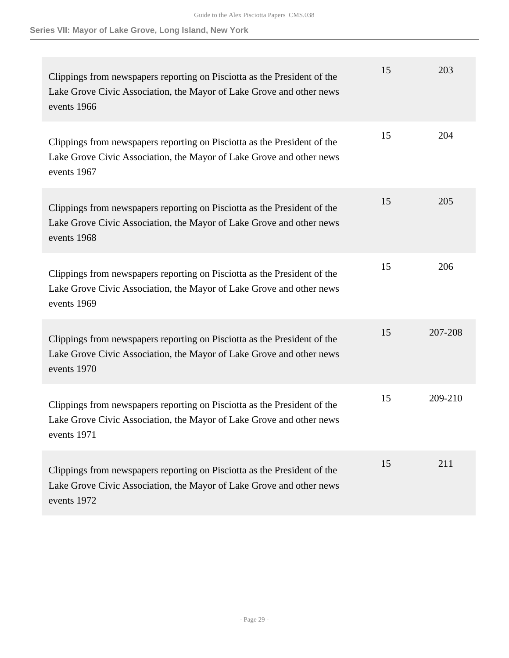| Clippings from newspapers reporting on Pisciotta as the President of the<br>Lake Grove Civic Association, the Mayor of Lake Grove and other news<br>events 1966 | 15 | 203     |
|-----------------------------------------------------------------------------------------------------------------------------------------------------------------|----|---------|
| Clippings from newspapers reporting on Pisciotta as the President of the<br>Lake Grove Civic Association, the Mayor of Lake Grove and other news<br>events 1967 | 15 | 204     |
| Clippings from newspapers reporting on Pisciotta as the President of the<br>Lake Grove Civic Association, the Mayor of Lake Grove and other news<br>events 1968 | 15 | 205     |
| Clippings from newspapers reporting on Pisciotta as the President of the<br>Lake Grove Civic Association, the Mayor of Lake Grove and other news<br>events 1969 | 15 | 206     |
| Clippings from newspapers reporting on Pisciotta as the President of the<br>Lake Grove Civic Association, the Mayor of Lake Grove and other news<br>events 1970 | 15 | 207-208 |
| Clippings from newspapers reporting on Pisciotta as the President of the<br>Lake Grove Civic Association, the Mayor of Lake Grove and other news<br>events 1971 | 15 | 209-210 |
| Clippings from newspapers reporting on Pisciotta as the President of the<br>Lake Grove Civic Association, the Mayor of Lake Grove and other news<br>events 1972 | 15 | 211     |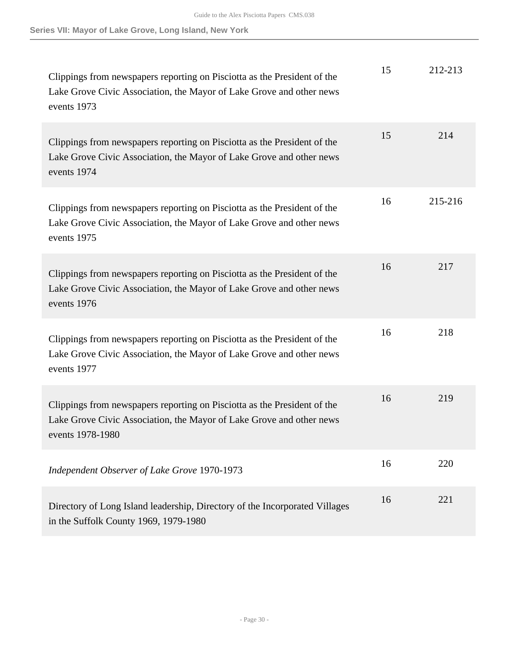| Clippings from newspapers reporting on Pisciotta as the President of the<br>Lake Grove Civic Association, the Mayor of Lake Grove and other news<br>events 1973      | 15 | 212-213 |
|----------------------------------------------------------------------------------------------------------------------------------------------------------------------|----|---------|
| Clippings from newspapers reporting on Pisciotta as the President of the<br>Lake Grove Civic Association, the Mayor of Lake Grove and other news<br>events 1974      | 15 | 214     |
| Clippings from newspapers reporting on Pisciotta as the President of the<br>Lake Grove Civic Association, the Mayor of Lake Grove and other news<br>events 1975      | 16 | 215-216 |
| Clippings from newspapers reporting on Pisciotta as the President of the<br>Lake Grove Civic Association, the Mayor of Lake Grove and other news<br>events 1976      | 16 | 217     |
| Clippings from newspapers reporting on Pisciotta as the President of the<br>Lake Grove Civic Association, the Mayor of Lake Grove and other news<br>events 1977      | 16 | 218     |
| Clippings from newspapers reporting on Pisciotta as the President of the<br>Lake Grove Civic Association, the Mayor of Lake Grove and other news<br>events 1978-1980 | 16 | 219     |
| Independent Observer of Lake Grove 1970-1973                                                                                                                         | 16 | 220     |
| Directory of Long Island leadership, Directory of the Incorporated Villages<br>in the Suffolk County 1969, 1979-1980                                                 | 16 | 221     |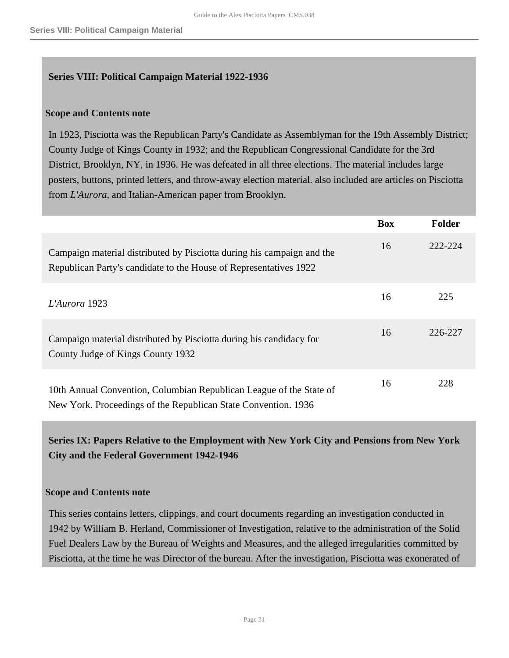## <span id="page-30-0"></span>**Series VIII: Political Campaign Material 1922-1936**

## **Scope and Contents note**

In 1923, Pisciotta was the Republican Party's Candidate as Assemblyman for the 19th Assembly District; County Judge of Kings County in 1932; and the Republican Congressional Candidate for the 3rd District, Brooklyn, NY, in 1936. He was defeated in all three elections. The material includes large posters, buttons, printed letters, and throw-away election material. also included are articles on Pisciotta from *L'Aurora*, and Italian-American paper from Brooklyn.

|                                                                                                                                             | <b>Box</b> | Folder  |
|---------------------------------------------------------------------------------------------------------------------------------------------|------------|---------|
| Campaign material distributed by Pisciotta during his campaign and the<br>Republican Party's candidate to the House of Representatives 1922 | 16         | 222-224 |
| L'Aurora 1923                                                                                                                               | 16         | 225     |
| Campaign material distributed by Pisciotta during his candidacy for<br>County Judge of Kings County 1932                                    | 16         | 226-227 |
| 10th Annual Convention, Columbian Republican League of the State of<br>New York. Proceedings of the Republican State Convention. 1936       | 16         | 228     |

## <span id="page-30-1"></span>**Series IX: Papers Relative to the Employment with New York City and Pensions from New York City and the Federal Government 1942-1946**

## **Scope and Contents note**

This series contains letters, clippings, and court documents regarding an investigation conducted in 1942 by William B. Herland, Commissioner of Investigation, relative to the administration of the Solid Fuel Dealers Law by the Bureau of Weights and Measures, and the alleged irregularities committed by Pisciotta, at the time he was Director of the bureau. After the investigation, Pisciotta was exonerated of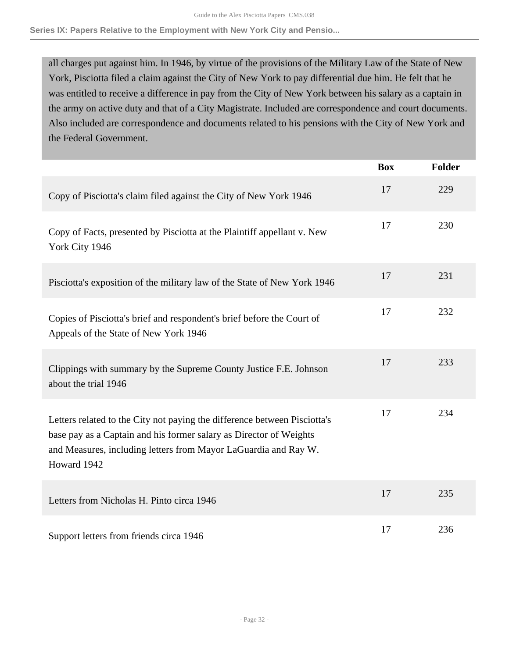**Series IX: Papers Relative to the Employment with New York City and Pensio...**

all charges put against him. In 1946, by virtue of the provisions of the Military Law of the State of New York, Pisciotta filed a claim against the City of New York to pay differential due him. He felt that he was entitled to receive a difference in pay from the City of New York between his salary as a captain in the army on active duty and that of a City Magistrate. Included are correspondence and court documents. Also included are correspondence and documents related to his pensions with the City of New York and the Federal Government.

|                                                                                                                                                                                                                                   | <b>Box</b> | <b>Folder</b> |
|-----------------------------------------------------------------------------------------------------------------------------------------------------------------------------------------------------------------------------------|------------|---------------|
| Copy of Pisciotta's claim filed against the City of New York 1946                                                                                                                                                                 | 17         | 229           |
| Copy of Facts, presented by Pisciotta at the Plaintiff appellant v. New<br>York City 1946                                                                                                                                         | 17         | 230           |
| Pisciotta's exposition of the military law of the State of New York 1946                                                                                                                                                          | 17         | 231           |
| Copies of Pisciotta's brief and respondent's brief before the Court of<br>Appeals of the State of New York 1946                                                                                                                   | 17         | 232           |
| Clippings with summary by the Supreme County Justice F.E. Johnson<br>about the trial 1946                                                                                                                                         | 17         | 233           |
| Letters related to the City not paying the difference between Pisciotta's<br>base pay as a Captain and his former salary as Director of Weights<br>and Measures, including letters from Mayor LaGuardia and Ray W.<br>Howard 1942 | 17         | 234           |
| Letters from Nicholas H. Pinto circa 1946                                                                                                                                                                                         | 17         | 235           |
| Support letters from friends circa 1946                                                                                                                                                                                           | 17         | 236           |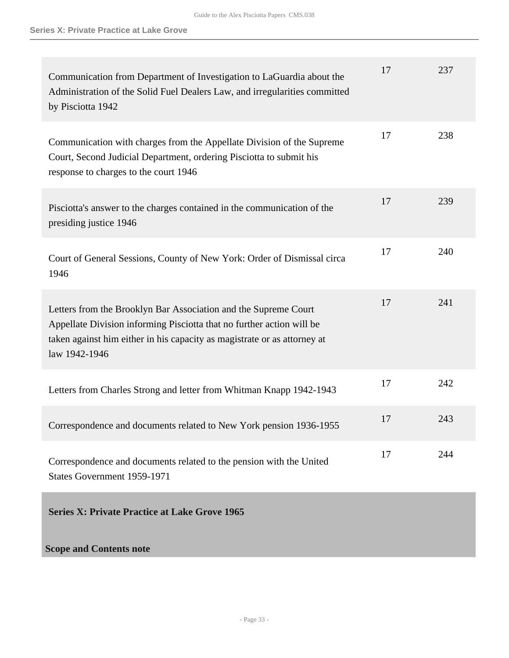<span id="page-32-0"></span>

| Communication from Department of Investigation to LaGuardia about the<br>Administration of the Solid Fuel Dealers Law, and irregularities committed<br>by Pisciotta 1942                                                              | 17 | 237 |
|---------------------------------------------------------------------------------------------------------------------------------------------------------------------------------------------------------------------------------------|----|-----|
| Communication with charges from the Appellate Division of the Supreme<br>Court, Second Judicial Department, ordering Pisciotta to submit his<br>response to charges to the court 1946                                                 | 17 | 238 |
| Pisciotta's answer to the charges contained in the communication of the<br>presiding justice 1946                                                                                                                                     | 17 | 239 |
| Court of General Sessions, County of New York: Order of Dismissal circa<br>1946                                                                                                                                                       | 17 | 240 |
| Letters from the Brooklyn Bar Association and the Supreme Court<br>Appellate Division informing Pisciotta that no further action will be<br>taken against him either in his capacity as magistrate or as attorney at<br>law 1942-1946 | 17 | 241 |
| Letters from Charles Strong and letter from Whitman Knapp 1942-1943                                                                                                                                                                   | 17 | 242 |
| Correspondence and documents related to New York pension 1936-1955                                                                                                                                                                    | 17 | 243 |
| Correspondence and documents related to the pension with the United<br>States Government 1959-1971                                                                                                                                    | 17 | 244 |
| <b>Series X: Private Practice at Lake Grove 1965</b>                                                                                                                                                                                  |    |     |
| <b>Scope and Contents note</b>                                                                                                                                                                                                        |    |     |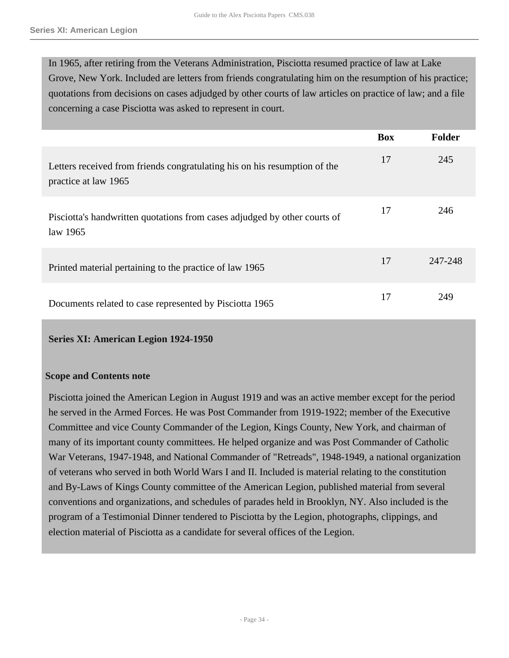In 1965, after retiring from the Veterans Administration, Pisciotta resumed practice of law at Lake Grove, New York. Included are letters from friends congratulating him on the resumption of his practice; quotations from decisions on cases adjudged by other courts of law articles on practice of law; and a file concerning a case Pisciotta was asked to represent in court.

|                                                                                                   | <b>Box</b> | Folder  |
|---------------------------------------------------------------------------------------------------|------------|---------|
| Letters received from friends congratulating his on his resumption of the<br>practice at law 1965 | 17         | 245     |
| Pisciotta's handwritten quotations from cases adjudged by other courts of<br>law 1965             | 17         | 246     |
| Printed material pertaining to the practice of law 1965                                           | 17         | 247-248 |
| Documents related to case represented by Pisciotta 1965                                           | 17         | 249     |

#### <span id="page-33-0"></span>**Series XI: American Legion 1924-1950**

#### **Scope and Contents note**

Pisciotta joined the American Legion in August 1919 and was an active member except for the period he served in the Armed Forces. He was Post Commander from 1919-1922; member of the Executive Committee and vice County Commander of the Legion, Kings County, New York, and chairman of many of its important county committees. He helped organize and was Post Commander of Catholic War Veterans, 1947-1948, and National Commander of "Retreads", 1948-1949, a national organization of veterans who served in both World Wars I and II. Included is material relating to the constitution and By-Laws of Kings County committee of the American Legion, published material from several conventions and organizations, and schedules of parades held in Brooklyn, NY. Also included is the program of a Testimonial Dinner tendered to Pisciotta by the Legion, photographs, clippings, and election material of Pisciotta as a candidate for several offices of the Legion.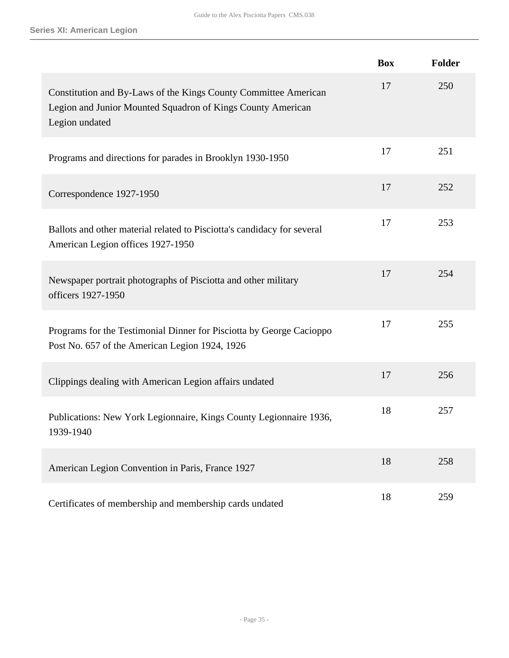|                                                                                                                                                  | <b>Box</b> | <b>Folder</b> |
|--------------------------------------------------------------------------------------------------------------------------------------------------|------------|---------------|
| Constitution and By-Laws of the Kings County Committee American<br>Legion and Junior Mounted Squadron of Kings County American<br>Legion undated | 17         | 250           |
| Programs and directions for parades in Brooklyn 1930-1950                                                                                        | 17         | 251           |
| Correspondence 1927-1950                                                                                                                         | 17         | 252           |
| Ballots and other material related to Pisciotta's candidacy for several<br>American Legion offices 1927-1950                                     | 17         | 253           |
| Newspaper portrait photographs of Pisciotta and other military<br>officers 1927-1950                                                             | 17         | 254           |
| Programs for the Testimonial Dinner for Pisciotta by George Cacioppo<br>Post No. 657 of the American Legion 1924, 1926                           | 17         | 255           |
| Clippings dealing with American Legion affairs undated                                                                                           | 17         | 256           |
| Publications: New York Legionnaire, Kings County Legionnaire 1936,<br>1939-1940                                                                  | 18         | 257           |
| American Legion Convention in Paris, France 1927                                                                                                 | 18         | 258           |
| Certificates of membership and membership cards undated                                                                                          | 18         | 259           |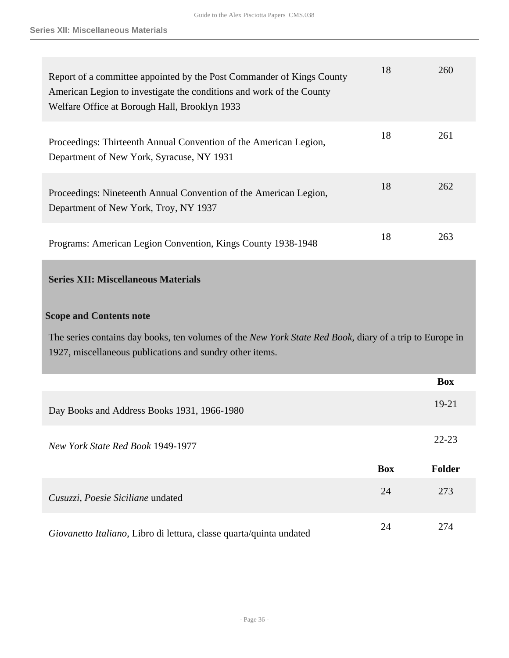<span id="page-35-0"></span>

| Report of a committee appointed by the Post Commander of Kings County<br>American Legion to investigate the conditions and work of the County<br>Welfare Office at Borough Hall, Brooklyn 1933 | 18         | 260           |
|------------------------------------------------------------------------------------------------------------------------------------------------------------------------------------------------|------------|---------------|
| Proceedings: Thirteenth Annual Convention of the American Legion,<br>Department of New York, Syracuse, NY 1931                                                                                 | 18         | 261           |
| Proceedings: Nineteenth Annual Convention of the American Legion,<br>Department of New York, Troy, NY 1937                                                                                     | 18         | 262           |
| Programs: American Legion Convention, Kings County 1938-1948                                                                                                                                   | 18         | 263           |
| <b>Series XII: Miscellaneous Materials</b>                                                                                                                                                     |            |               |
| <b>Scope and Contents note</b>                                                                                                                                                                 |            |               |
| The series contains day books, ten volumes of the New York State Red Book, diary of a trip to Europe in<br>1927, miscellaneous publications and sundry other items.                            |            |               |
|                                                                                                                                                                                                |            | <b>Box</b>    |
| Day Books and Address Books 1931, 1966-1980                                                                                                                                                    |            | $19 - 21$     |
| New York State Red Book 1949-1977                                                                                                                                                              |            |               |
|                                                                                                                                                                                                |            | $22 - 23$     |
|                                                                                                                                                                                                | <b>Box</b> | <b>Folder</b> |
| Cusuzzi, Poesie Siciliane undated                                                                                                                                                              | 24         | 273           |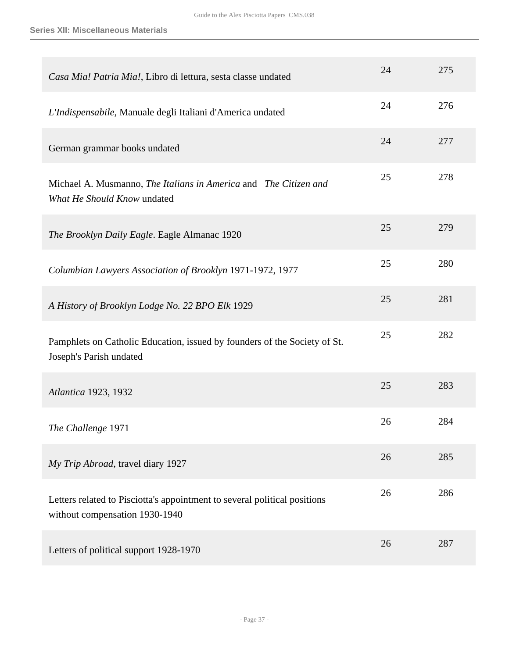| Casa Mia! Patria Mia!, Libro di lettura, sesta classe undated                                               | 24 | 275 |
|-------------------------------------------------------------------------------------------------------------|----|-----|
| L'Indispensabile, Manuale degli Italiani d'America undated                                                  | 24 | 276 |
| German grammar books undated                                                                                | 24 | 277 |
| Michael A. Musmanno, The Italians in America and The Citizen and<br>What He Should Know undated             | 25 | 278 |
| The Brooklyn Daily Eagle. Eagle Almanac 1920                                                                | 25 | 279 |
| Columbian Lawyers Association of Brooklyn 1971-1972, 1977                                                   | 25 | 280 |
| A History of Brooklyn Lodge No. 22 BPO Elk 1929                                                             | 25 | 281 |
| Pamphlets on Catholic Education, issued by founders of the Society of St.<br>Joseph's Parish undated        | 25 | 282 |
| Atlantica 1923, 1932                                                                                        | 25 | 283 |
| The Challenge 1971                                                                                          | 26 | 284 |
| My Trip Abroad, travel diary 1927                                                                           | 26 | 285 |
| Letters related to Pisciotta's appointment to several political positions<br>without compensation 1930-1940 | 26 | 286 |
| Letters of political support 1928-1970                                                                      | 26 | 287 |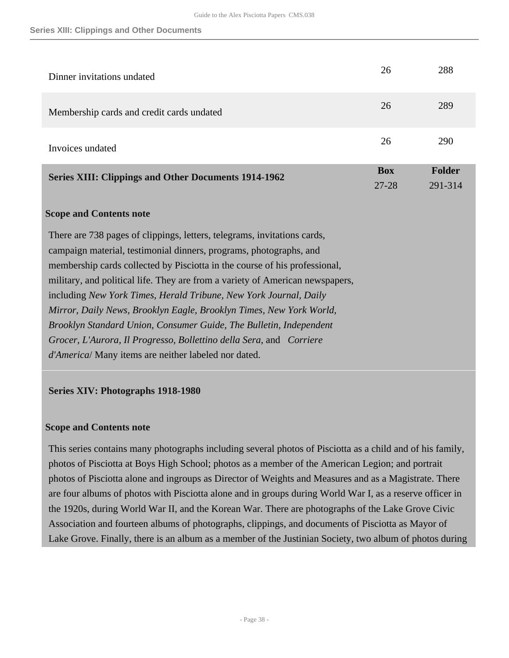#### **Series XIII: Clippings and Other Documents**

<span id="page-37-0"></span>

| Dinner invitations undated                                                    | 26                      | 288               |
|-------------------------------------------------------------------------------|-------------------------|-------------------|
| Membership cards and credit cards undated                                     | 26                      | 289               |
| Invoices undated                                                              | 26                      | 290               |
| <b>Series XIII: Clippings and Other Documents 1914-1962</b>                   | <b>Box</b><br>$27 - 28$ | Folder<br>291-314 |
| <b>Scope and Contents note</b>                                                |                         |                   |
| There are 738 pages of clippings, letters, telegrams, invitations cards,      |                         |                   |
| campaign material, testimonial dinners, programs, photographs, and            |                         |                   |
| membership cards collected by Pisciotta in the course of his professional,    |                         |                   |
| military, and political life. They are from a variety of American newspapers, |                         |                   |
| including New York Times, Herald Tribune, New York Journal, Daily             |                         |                   |
| Mirror, Daily News, Brooklyn Eagle, Brooklyn Times, New York World,           |                         |                   |
| Brooklyn Standard Union, Consumer Guide, The Bulletin, Independent            |                         |                   |
| Grocer, L'Aurora, Il Progresso, Bollettino della Sera, and Corriere           |                         |                   |
| d'America/Many items are neither labeled nor dated.                           |                         |                   |

## <span id="page-37-1"></span>**Series XIV: Photographs 1918-1980**

## **Scope and Contents note**

This series contains many photographs including several photos of Pisciotta as a child and of his family, photos of Pisciotta at Boys High School; photos as a member of the American Legion; and portrait photos of Pisciotta alone and ingroups as Director of Weights and Measures and as a Magistrate. There are four albums of photos with Pisciotta alone and in groups during World War I, as a reserve officer in the 1920s, during World War II, and the Korean War. There are photographs of the Lake Grove Civic Association and fourteen albums of photographs, clippings, and documents of Pisciotta as Mayor of Lake Grove. Finally, there is an album as a member of the Justinian Society, two album of photos during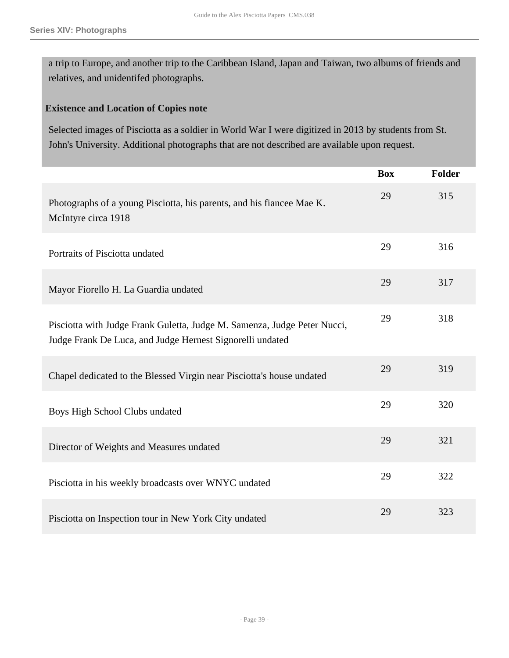a trip to Europe, and another trip to the Caribbean Island, Japan and Taiwan, two albums of friends and relatives, and unidentifed photographs.

## **Existence and Location of Copies note**

Selected images of Pisciotta as a soldier in World War I were digitized in 2013 by students from St. John's University. Additional photographs that are not described are available upon request.

|                                                                                                                                       | <b>Box</b> | <b>Folder</b> |
|---------------------------------------------------------------------------------------------------------------------------------------|------------|---------------|
| Photographs of a young Pisciotta, his parents, and his fiancee Mae K.<br>McIntyre circa 1918                                          | 29         | 315           |
| Portraits of Pisciotta undated                                                                                                        | 29         | 316           |
| Mayor Fiorello H. La Guardia undated                                                                                                  | 29         | 317           |
| Pisciotta with Judge Frank Guletta, Judge M. Samenza, Judge Peter Nucci,<br>Judge Frank De Luca, and Judge Hernest Signorelli undated | 29         | 318           |
| Chapel dedicated to the Blessed Virgin near Pisciotta's house undated                                                                 | 29         | 319           |
| Boys High School Clubs undated                                                                                                        | 29         | 320           |
| Director of Weights and Measures undated                                                                                              | 29         | 321           |
| Pisciotta in his weekly broadcasts over WNYC undated                                                                                  | 29         | 322           |
| Pisciotta on Inspection tour in New York City undated                                                                                 | 29         | 323           |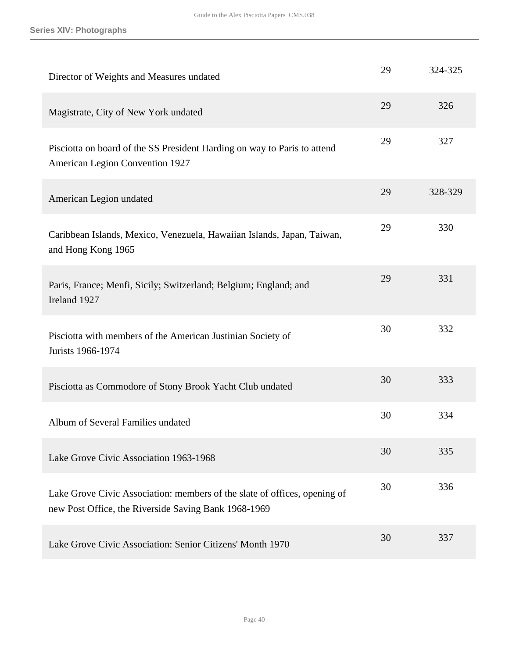| Director of Weights and Measures undated                                                                                          | 29 | 324-325 |
|-----------------------------------------------------------------------------------------------------------------------------------|----|---------|
| Magistrate, City of New York undated                                                                                              | 29 | 326     |
| Pisciotta on board of the SS President Harding on way to Paris to attend<br><b>American Legion Convention 1927</b>                | 29 | 327     |
| American Legion undated                                                                                                           | 29 | 328-329 |
| Caribbean Islands, Mexico, Venezuela, Hawaiian Islands, Japan, Taiwan,<br>and Hong Kong 1965                                      | 29 | 330     |
| Paris, France; Menfi, Sicily; Switzerland; Belgium; England; and<br>Ireland 1927                                                  | 29 | 331     |
| Pisciotta with members of the American Justinian Society of<br>Jurists 1966-1974                                                  | 30 | 332     |
| Pisciotta as Commodore of Stony Brook Yacht Club undated                                                                          | 30 | 333     |
| Album of Several Families undated                                                                                                 | 30 | 334     |
| Lake Grove Civic Association 1963-1968                                                                                            | 30 | 335     |
| Lake Grove Civic Association: members of the slate of offices, opening of<br>new Post Office, the Riverside Saving Bank 1968-1969 | 30 | 336     |
| Lake Grove Civic Association: Senior Citizens' Month 1970                                                                         | 30 | 337     |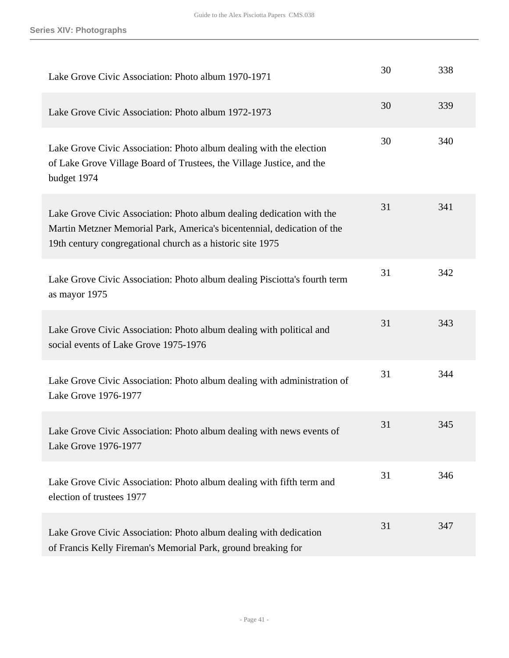| Lake Grove Civic Association: Photo album 1970-1971                                                                                                                                                            | 30 | 338 |
|----------------------------------------------------------------------------------------------------------------------------------------------------------------------------------------------------------------|----|-----|
| Lake Grove Civic Association: Photo album 1972-1973                                                                                                                                                            | 30 | 339 |
| Lake Grove Civic Association: Photo album dealing with the election<br>of Lake Grove Village Board of Trustees, the Village Justice, and the<br>budget 1974                                                    | 30 | 340 |
| Lake Grove Civic Association: Photo album dealing dedication with the<br>Martin Metzner Memorial Park, America's bicentennial, dedication of the<br>19th century congregational church as a historic site 1975 | 31 | 341 |
| Lake Grove Civic Association: Photo album dealing Pisciotta's fourth term<br>as mayor 1975                                                                                                                     | 31 | 342 |
| Lake Grove Civic Association: Photo album dealing with political and<br>social events of Lake Grove 1975-1976                                                                                                  | 31 | 343 |
| Lake Grove Civic Association: Photo album dealing with administration of<br>Lake Grove 1976-1977                                                                                                               | 31 | 344 |
| Lake Grove Civic Association: Photo album dealing with news events of<br>Lake Grove 1976-1977                                                                                                                  | 31 | 345 |
| Lake Grove Civic Association: Photo album dealing with fifth term and<br>election of trustees 1977                                                                                                             | 31 | 346 |
| Lake Grove Civic Association: Photo album dealing with dedication<br>of Francis Kelly Fireman's Memorial Park, ground breaking for                                                                             | 31 | 347 |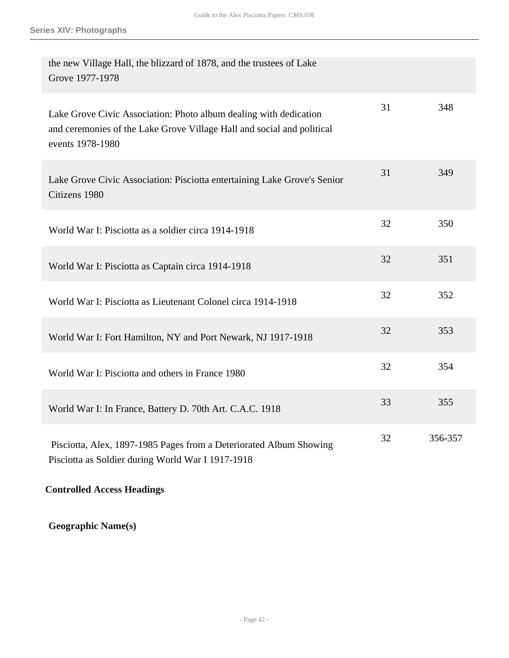| the new Village Hall, the blizzard of 1878, and the trustees of Lake<br>Grove 1977-1978                                                                         |    |         |
|-----------------------------------------------------------------------------------------------------------------------------------------------------------------|----|---------|
| Lake Grove Civic Association: Photo album dealing with dedication<br>and ceremonies of the Lake Grove Village Hall and social and political<br>events 1978-1980 | 31 | 348     |
| Lake Grove Civic Association: Pisciotta entertaining Lake Grove's Senior<br>Citizens 1980                                                                       | 31 | 349     |
| World War I: Pisciotta as a soldier circa 1914-1918                                                                                                             | 32 | 350     |
| World War I: Pisciotta as Captain circa 1914-1918                                                                                                               | 32 | 351     |
| World War I: Pisciotta as Lieutenant Colonel circa 1914-1918                                                                                                    | 32 | 352     |
| World War I: Fort Hamilton, NY and Port Newark, NJ 1917-1918                                                                                                    | 32 | 353     |
| World War I: Pisciotta and others in France 1980                                                                                                                | 32 | 354     |
| World War I: In France, Battery D. 70th Art. C.A.C. 1918                                                                                                        | 33 | 355     |
| Pisciotta, Alex, 1897-1985 Pages from a Deteriorated Album Showing<br>Pisciotta as Soldier during World War I 1917-1918                                         | 32 | 356-357 |

**Controlled Access Headings**

**Geographic Name(s)**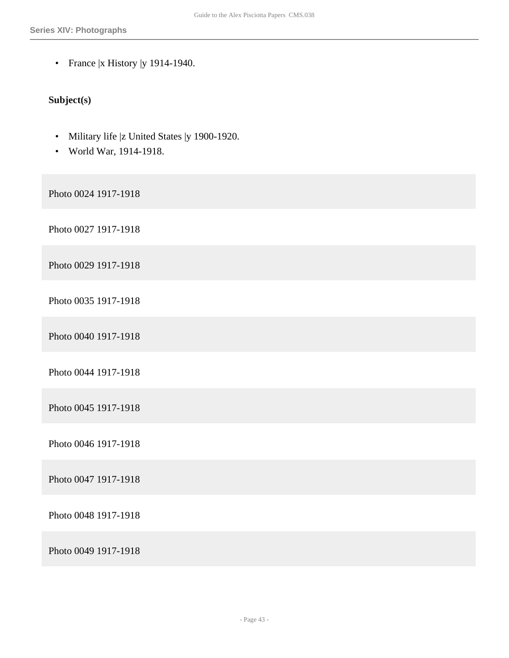• France |x History |y 1914-1940.

## **Subject(s)**

- Military life |z United States |y 1900-1920.
- World War, 1914-1918.

Photo 0024 1917-1918

Photo 0027 1917-1918

Photo 0029 1917-1918

Photo 0035 1917-1918

Photo 0040 1917-1918

Photo 0044 1917-1918

Photo 0045 1917-1918

Photo 0046 1917-1918

Photo 0047 1917-1918

Photo 0048 1917-1918

Photo 0049 1917-1918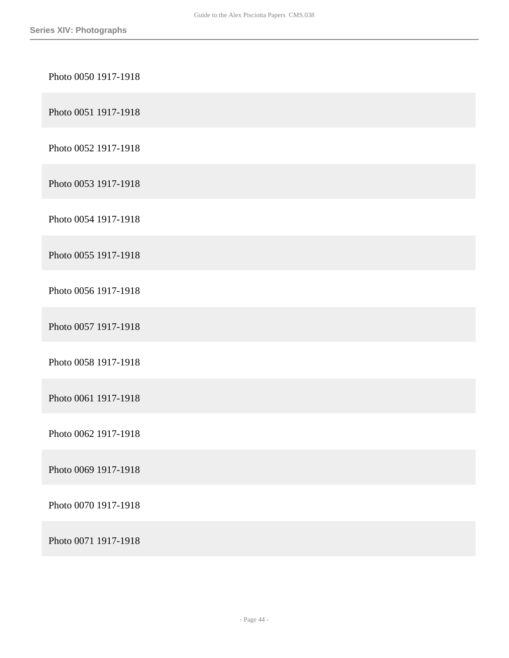| Photo 0050 1917-1918 |
|----------------------|
| Photo 0051 1917-1918 |
| Photo 0052 1917-1918 |
| Photo 0053 1917-1918 |
| Photo 0054 1917-1918 |
| Photo 0055 1917-1918 |
| Photo 0056 1917-1918 |
| Photo 0057 1917-1918 |
| Photo 0058 1917-1918 |
| Photo 0061 1917-1918 |
| Photo 0062 1917-1918 |
| Photo 0069 1917-1918 |
| Photo 0070 1917-1918 |
| Photo 0071 1917-1918 |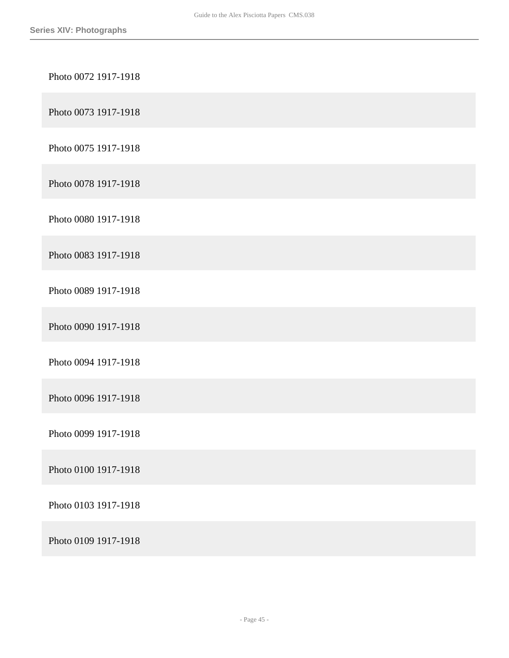| Photo 0072 1917-1918 |
|----------------------|
| Photo 0073 1917-1918 |
| Photo 0075 1917-1918 |
| Photo 0078 1917-1918 |
| Photo 0080 1917-1918 |
| Photo 0083 1917-1918 |
| Photo 0089 1917-1918 |
| Photo 0090 1917-1918 |
| Photo 0094 1917-1918 |
| Photo 0096 1917-1918 |
| Photo 0099 1917-1918 |
| Photo 0100 1917-1918 |
| Photo 0103 1917-1918 |
| Photo 0109 1917-1918 |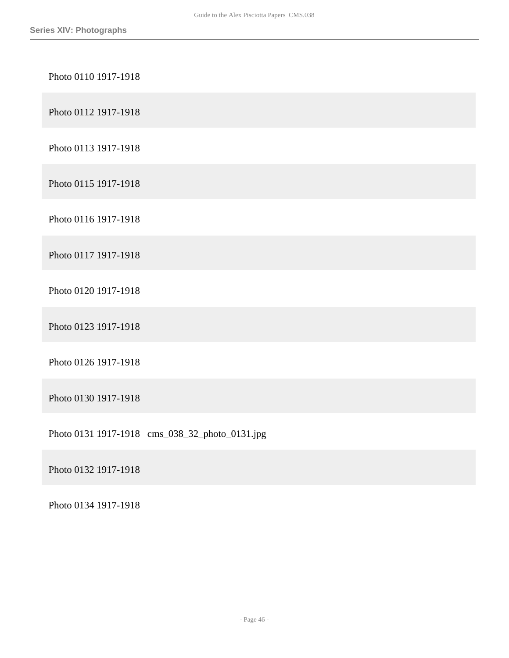## Photo 0110 1917-1918

Photo 0112 1917-1918

Photo 0113 1917-1918

Photo 0115 1917-1918

Photo 0116 1917-1918

Photo 0117 1917-1918

Photo 0120 1917-1918

Photo 0123 1917-1918

Photo 0126 1917-1918

Photo 0130 1917-1918

Photo 0131 1917-1918 cms\_038\_32\_photo\_0131.jpg

Photo 0132 1917-1918

Photo 0134 1917-1918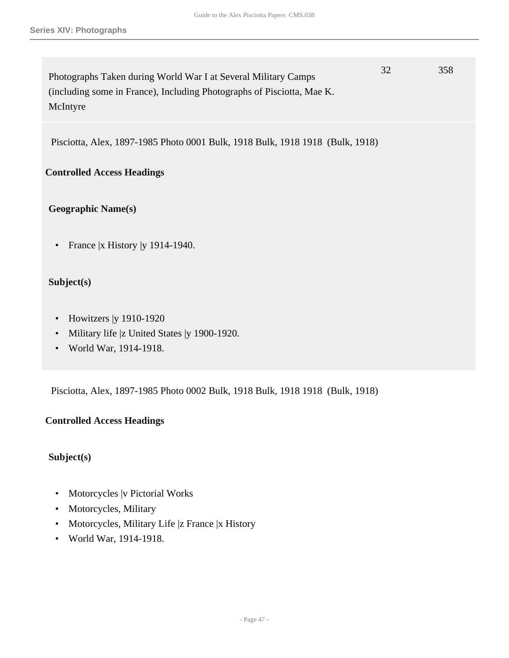Photographs Taken during World War I at Several Military Camps (including some in France), Including Photographs of Pisciotta, Mae K. McIntyre 32 358

Pisciotta, Alex, 1897-1985 Photo 0001 Bulk, 1918 Bulk, 1918 1918 (Bulk, 1918)

## **Controlled Access Headings**

## **Geographic Name(s)**

• France |x History |y 1914-1940.

## **Subject(s)**

- Howitzers | y 1910-1920
- Military life |z United States |y 1900-1920.
- World War, 1914-1918.

Pisciotta, Alex, 1897-1985 Photo 0002 Bulk, 1918 Bulk, 1918 1918 (Bulk, 1918)

## **Controlled Access Headings**

## **Subject(s)**

- Motorcycles |v Pictorial Works
- Motorcycles, Military
- Motorcycles, Military Life |z France |x History
- World War, 1914-1918.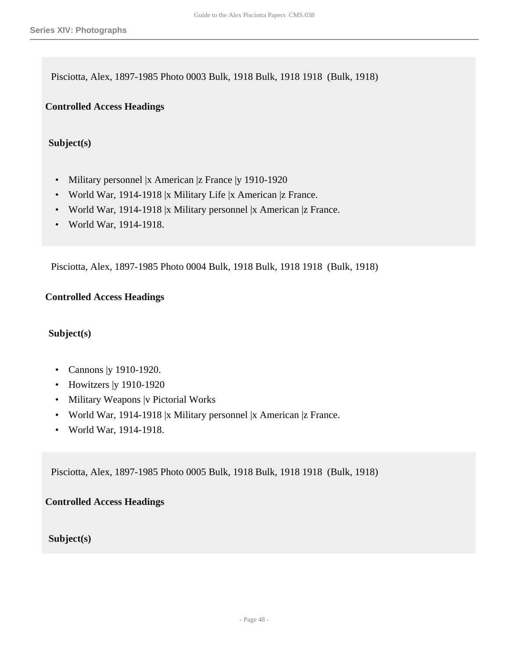Pisciotta, Alex, 1897-1985 Photo 0003 Bulk, 1918 Bulk, 1918 1918 (Bulk, 1918)

**Controlled Access Headings**

**Subject(s)**

- Military personnel |x American |z France |y 1910-1920
- World War, 1914-1918 |x Military Life |x American |z France.
- World War, 1914-1918 |x Military personnel |x American |z France.
- World War, 1914-1918.

Pisciotta, Alex, 1897-1985 Photo 0004 Bulk, 1918 Bulk, 1918 1918 (Bulk, 1918)

## **Controlled Access Headings**

## **Subject(s)**

- Cannons |y 1910-1920.
- Howitzers | y 1910-1920
- Military Weapons |v Pictorial Works
- World War, 1914-1918 |x Military personnel |x American |z France.
- World War, 1914-1918.

Pisciotta, Alex, 1897-1985 Photo 0005 Bulk, 1918 Bulk, 1918 1918 (Bulk, 1918)

**Controlled Access Headings**

**Subject(s)**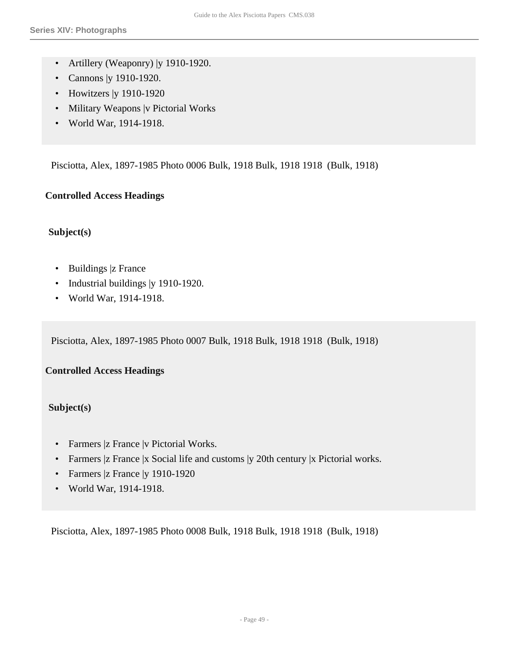- Artillery (Weaponry) | y 1910-1920.
- Cannons |y 1910-1920.
- Howitzers | y 1910-1920
- Military Weapons |v Pictorial Works
- World War, 1914-1918.

Pisciotta, Alex, 1897-1985 Photo 0006 Bulk, 1918 Bulk, 1918 1918 (Bulk, 1918)

## **Controlled Access Headings**

## **Subject(s)**

- Buildings |z France
- Industrial buildings | y 1910-1920.
- World War, 1914-1918.

Pisciotta, Alex, 1897-1985 Photo 0007 Bulk, 1918 Bulk, 1918 1918 (Bulk, 1918)

## **Controlled Access Headings**

## **Subject(s)**

- Farmers |z France |v Pictorial Works.
- Farmers |z France |x Social life and customs |y 20th century |x Pictorial works.
- Farmers |z France | y 1910-1920
- World War, 1914-1918.

Pisciotta, Alex, 1897-1985 Photo 0008 Bulk, 1918 Bulk, 1918 1918 (Bulk, 1918)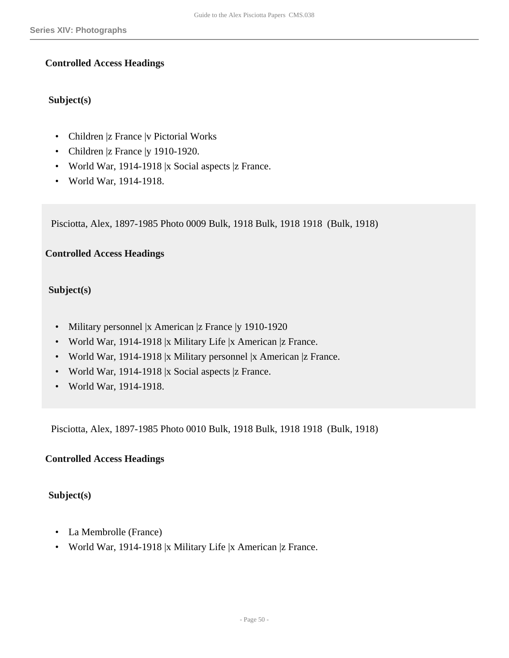## **Controlled Access Headings**

## **Subject(s)**

- Children |z France |v Pictorial Works
- Children |z France | y 1910-1920.
- World War, 1914-1918 |x Social aspects |z France.
- World War, 1914-1918.

Pisciotta, Alex, 1897-1985 Photo 0009 Bulk, 1918 Bulk, 1918 1918 (Bulk, 1918)

## **Controlled Access Headings**

### **Subject(s)**

- Military personnel |x American |z France |y 1910-1920
- World War, 1914-1918 |x Military Life |x American |z France.
- World War, 1914-1918 |x Military personnel |x American |z France.
- World War, 1914-1918 |x Social aspects |z France.
- World War, 1914-1918.

Pisciotta, Alex, 1897-1985 Photo 0010 Bulk, 1918 Bulk, 1918 1918 (Bulk, 1918)

#### **Controlled Access Headings**

#### **Subject(s)**

- La Membrolle (France)
- World War, 1914-1918 |x Military Life |x American |z France.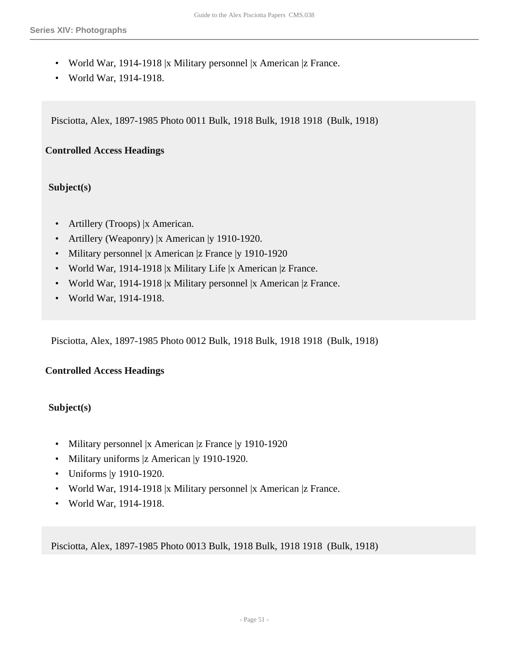- World War, 1914-1918 |x Military personnel |x American |z France.
- World War, 1914-1918.

Pisciotta, Alex, 1897-1985 Photo 0011 Bulk, 1918 Bulk, 1918 1918 (Bulk, 1918)

## **Controlled Access Headings**

## **Subject(s)**

- Artillery (Troops) |x American.
- Artillery (Weaponry) |x American |y 1910-1920.
- Military personnel |x American |z France |y 1910-1920
- World War, 1914-1918 |x Military Life |x American |z France.
- World War, 1914-1918 |x Military personnel |x American |z France.
- World War, 1914-1918.

Pisciotta, Alex, 1897-1985 Photo 0012 Bulk, 1918 Bulk, 1918 1918 (Bulk, 1918)

## **Controlled Access Headings**

## **Subject(s)**

- Military personnel |x American |z France |y 1910-1920
- Military uniforms |z American |y 1910-1920.
- Uniforms |y 1910-1920.
- World War, 1914-1918 |x Military personnel |x American |z France.
- World War, 1914-1918.

Pisciotta, Alex, 1897-1985 Photo 0013 Bulk, 1918 Bulk, 1918 1918 (Bulk, 1918)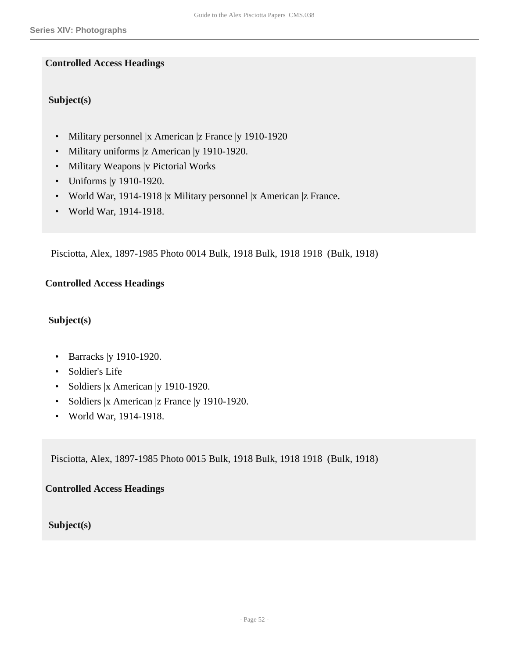## **Controlled Access Headings**

## **Subject(s)**

- Military personnel |x American |z France |y 1910-1920
- Military uniforms |z American |y 1910-1920.
- Military Weapons |v Pictorial Works
- Uniforms |y 1910-1920.
- World War, 1914-1918 |x Military personnel |x American |z France.
- World War, 1914-1918.

Pisciotta, Alex, 1897-1985 Photo 0014 Bulk, 1918 Bulk, 1918 1918 (Bulk, 1918)

## **Controlled Access Headings**

## **Subject(s)**

- Barracks | y 1910-1920.
- Soldier's Life
- Soldiers |x American |y 1910-1920.
- Soldiers |x American |z France |y 1910-1920.
- World War, 1914-1918.

Pisciotta, Alex, 1897-1985 Photo 0015 Bulk, 1918 Bulk, 1918 1918 (Bulk, 1918)

## **Controlled Access Headings**

## **Subject(s)**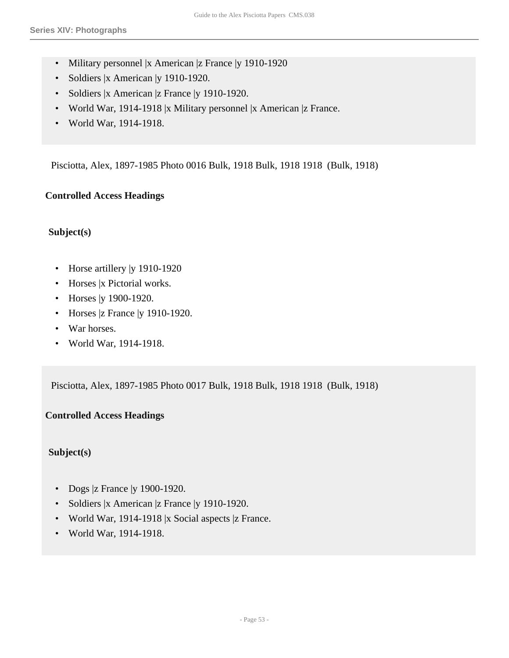- Military personnel |x American |z France |y 1910-1920
- Soldiers |x American |y 1910-1920.
- Soldiers |x American |z France |y 1910-1920.
- World War, 1914-1918 |x Military personnel |x American |z France.
- World War, 1914-1918.

Pisciotta, Alex, 1897-1985 Photo 0016 Bulk, 1918 Bulk, 1918 1918 (Bulk, 1918)

### **Controlled Access Headings**

### **Subject(s)**

- Horse artillery | y 1910-1920
- Horses |x Pictorial works.
- Horses | y 1900-1920.
- Horses |z France | y 1910-1920.
- War horses.
- World War, 1914-1918.

Pisciotta, Alex, 1897-1985 Photo 0017 Bulk, 1918 Bulk, 1918 1918 (Bulk, 1918)

## **Controlled Access Headings**

## **Subject(s)**

- Dogs |z France | y 1900-1920.
- Soldiers |x American |z France |y 1910-1920.
- World War, 1914-1918 |x Social aspects |z France.
- World War, 1914-1918.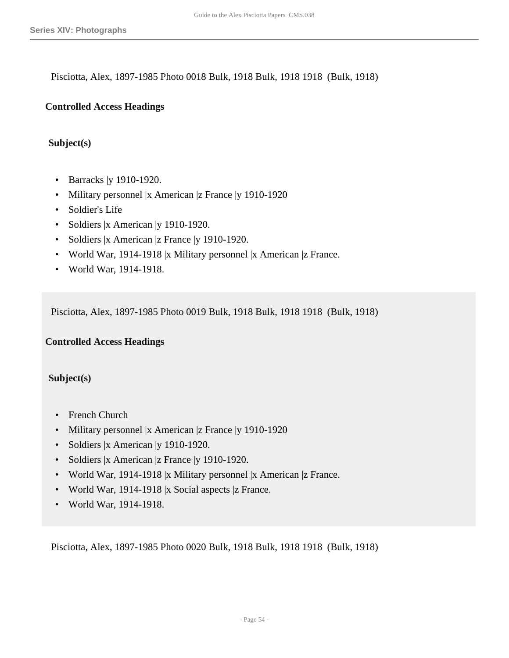Pisciotta, Alex, 1897-1985 Photo 0018 Bulk, 1918 Bulk, 1918 1918 (Bulk, 1918)

#### **Controlled Access Headings**

#### **Subject(s)**

- Barracks | y 1910-1920.
- Military personnel |x American |z France |y 1910-1920
- Soldier's Life
- Soldiers |x American |y 1910-1920.
- Soldiers |x American |z France |y 1910-1920.
- World War, 1914-1918 |x Military personnel |x American |z France.
- World War, 1914-1918.

Pisciotta, Alex, 1897-1985 Photo 0019 Bulk, 1918 Bulk, 1918 1918 (Bulk, 1918)

#### **Controlled Access Headings**

### **Subject(s)**

- French Church
- Military personnel |x American |z France |y 1910-1920
- Soldiers |x American |y 1910-1920.
- Soldiers |x American |z France |y 1910-1920.
- World War, 1914-1918 |x Military personnel |x American |z France.
- World War, 1914-1918 |x Social aspects |z France.
- World War, 1914-1918.

Pisciotta, Alex, 1897-1985 Photo 0020 Bulk, 1918 Bulk, 1918 1918 (Bulk, 1918)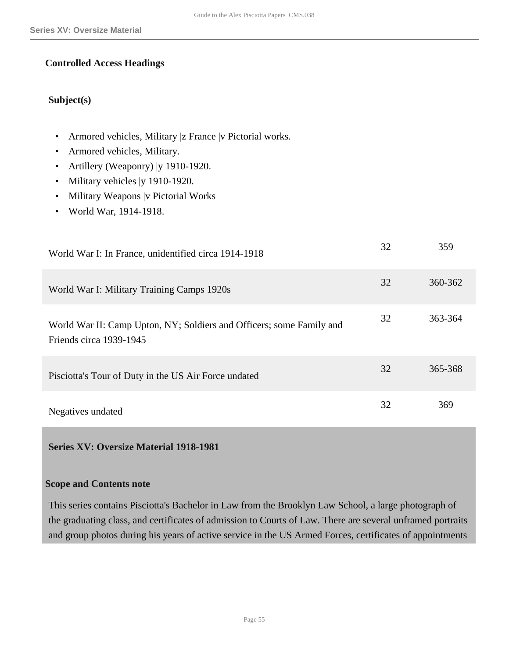## **Controlled Access Headings**

## **Subject(s)**

- Armored vehicles, Military |z France |v Pictorial works.
- Armored vehicles, Military.
- Artillery (Weaponry) | y 1910-1920.
- Military vehicles | y 1910-1920.
- Military Weapons |v Pictorial Works
- World War, 1914-1918.

| World War I: In France, unidentified circa 1914-1918                                            | 32 | 359     |
|-------------------------------------------------------------------------------------------------|----|---------|
| World War I: Military Training Camps 1920s                                                      | 32 | 360-362 |
| World War II: Camp Upton, NY; Soldiers and Officers; some Family and<br>Friends circa 1939-1945 | 32 | 363-364 |
| Pisciotta's Tour of Duty in the US Air Force undated                                            | 32 | 365-368 |
| Negatives undated                                                                               | 32 | 369     |

<span id="page-54-0"></span>**Series XV: Oversize Material 1918-1981** 

#### **Scope and Contents note**

This series contains Pisciotta's Bachelor in Law from the Brooklyn Law School, a large photograph of the graduating class, and certificates of admission to Courts of Law. There are several unframed portraits and group photos during his years of active service in the US Armed Forces, certificates of appointments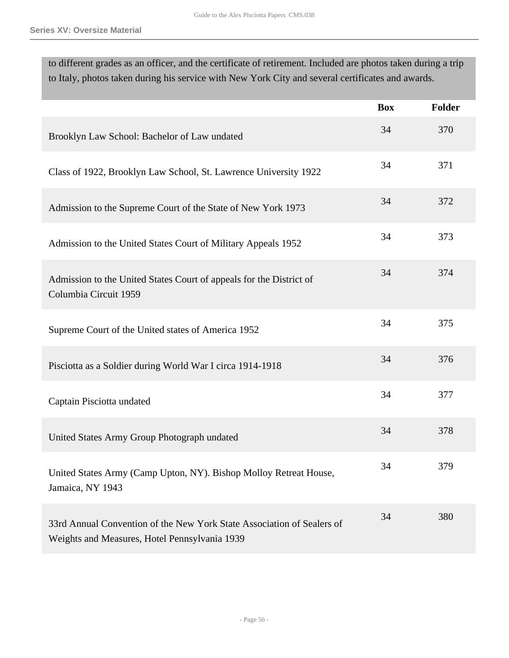to different grades as an officer, and the certificate of retirement. Included are photos taken during a trip to Italy, photos taken during his service with New York City and several certificates and awards.

|                                                                                                                         | <b>Box</b> | <b>Folder</b> |
|-------------------------------------------------------------------------------------------------------------------------|------------|---------------|
| Brooklyn Law School: Bachelor of Law undated                                                                            | 34         | 370           |
| Class of 1922, Brooklyn Law School, St. Lawrence University 1922                                                        | 34         | 371           |
| Admission to the Supreme Court of the State of New York 1973                                                            | 34         | 372           |
| Admission to the United States Court of Military Appeals 1952                                                           | 34         | 373           |
| Admission to the United States Court of appeals for the District of<br>Columbia Circuit 1959                            | 34         | 374           |
| Supreme Court of the United states of America 1952                                                                      | 34         | 375           |
| Pisciotta as a Soldier during World War I circa 1914-1918                                                               | 34         | 376           |
| Captain Pisciotta undated                                                                                               | 34         | 377           |
| United States Army Group Photograph undated                                                                             | 34         | 378           |
| United States Army (Camp Upton, NY). Bishop Molloy Retreat House,<br>Jamaica, NY 1943                                   | 34         | 379           |
| 33rd Annual Convention of the New York State Association of Sealers of<br>Weights and Measures, Hotel Pennsylvania 1939 | 34         | 380           |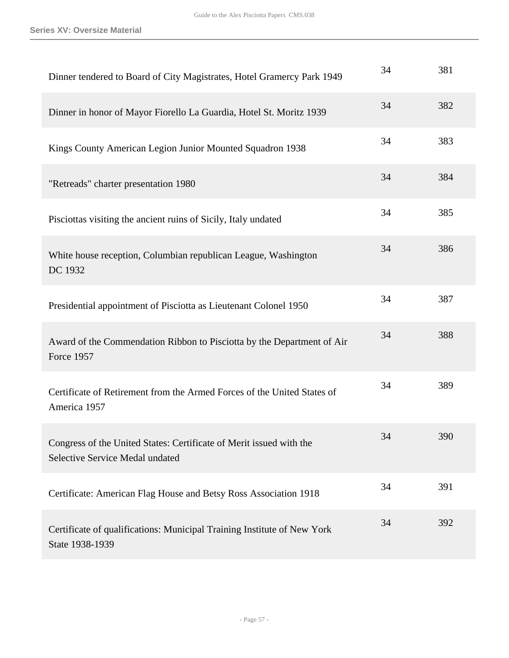| Dinner tendered to Board of City Magistrates, Hotel Gramercy Park 1949                                        | 34 | 381 |
|---------------------------------------------------------------------------------------------------------------|----|-----|
| Dinner in honor of Mayor Fiorello La Guardia, Hotel St. Moritz 1939                                           | 34 | 382 |
| Kings County American Legion Junior Mounted Squadron 1938                                                     | 34 | 383 |
| "Retreads" charter presentation 1980                                                                          | 34 | 384 |
| Pisciottas visiting the ancient ruins of Sicily, Italy undated                                                | 34 | 385 |
| White house reception, Columbian republican League, Washington<br>DC 1932                                     | 34 | 386 |
| Presidential appointment of Pisciotta as Lieutenant Colonel 1950                                              | 34 | 387 |
| Award of the Commendation Ribbon to Pisciotta by the Department of Air<br><b>Force 1957</b>                   | 34 | 388 |
| Certificate of Retirement from the Armed Forces of the United States of<br>America 1957                       | 34 | 389 |
| Congress of the United States: Certificate of Merit issued with the<br><b>Selective Service Medal undated</b> | 34 | 390 |
| Certificate: American Flag House and Betsy Ross Association 1918                                              | 34 | 391 |
| Certificate of qualifications: Municipal Training Institute of New York<br>State 1938-1939                    | 34 | 392 |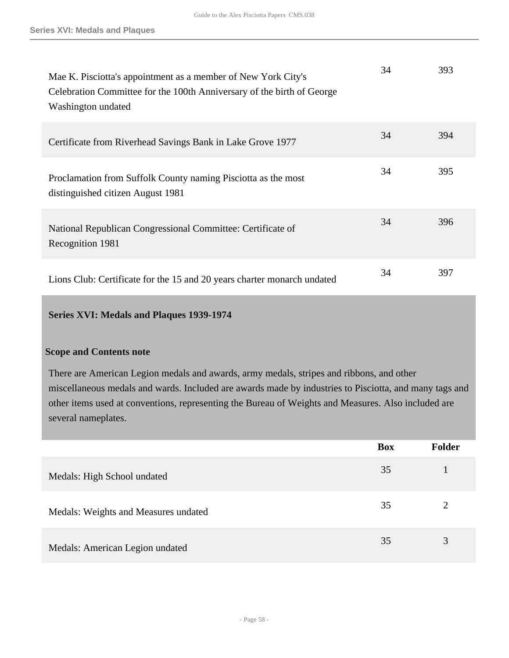| Mae K. Pisciotta's appointment as a member of New York City's<br>Celebration Committee for the 100th Anniversary of the birth of George<br>Washington undated | 34 | 393 |
|---------------------------------------------------------------------------------------------------------------------------------------------------------------|----|-----|
| Certificate from Riverhead Savings Bank in Lake Grove 1977                                                                                                    | 34 | 394 |
| Proclamation from Suffolk County naming Pisciotta as the most<br>distinguished citizen August 1981                                                            | 34 | 395 |
| National Republican Congressional Committee: Certificate of<br>Recognition 1981                                                                               | 34 | 396 |
| Lions Club: Certificate for the 15 and 20 years charter monarch undated                                                                                       | 34 | 397 |

## <span id="page-57-0"></span>**Series XVI: Medals and Plaques 1939-1974**

### **Scope and Contents note**

There are American Legion medals and awards, army medals, stripes and ribbons, and other miscellaneous medals and wards. Included are awards made by industries to Pisciotta, and many tags and other items used at conventions, representing the Bureau of Weights and Measures. Also included are several nameplates.

|                                      | <b>Box</b> | <b>Folder</b> |
|--------------------------------------|------------|---------------|
| Medals: High School undated          | 35         |               |
| Medals: Weights and Measures undated | 35         | ↑             |
| Medals: American Legion undated      | 35         | 3             |